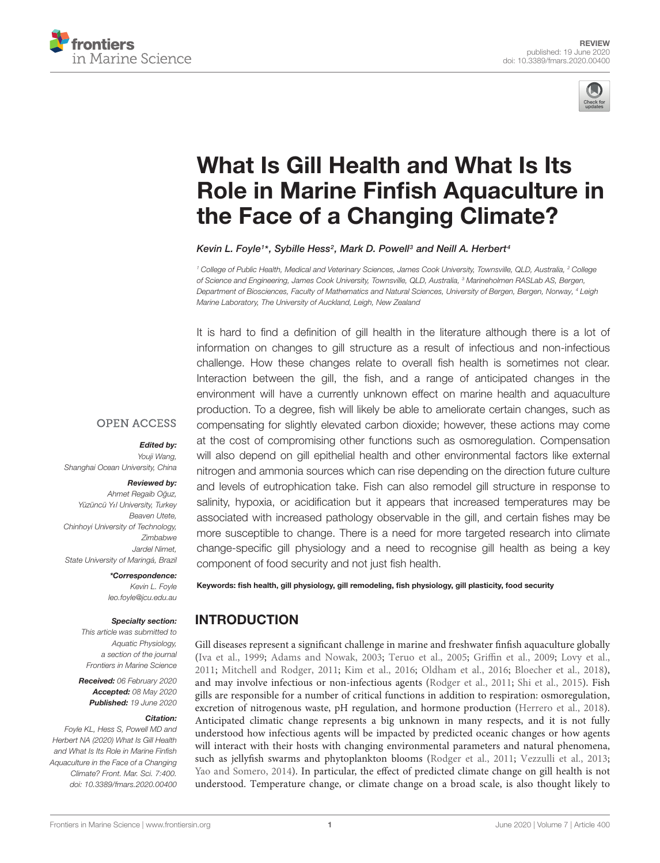



# What Is Gill Health and What Is Its [Role in Marine Finfish Aquaculture in](https://www.frontiersin.org/articles/10.3389/fmars.2020.00400/full) the Face of a Changing Climate?

[Kevin L. Foyle](http://loop.frontiersin.org/people/903525/overview)1\*, [Sybille Hess](http://loop.frontiersin.org/people/924242/overview)<sup>2</sup>, [Mark D. Powell](http://loop.frontiersin.org/people/597431/overview)<sup>3</sup> and [Neill A. Herbert](http://loop.frontiersin.org/people/160192/overview)<sup>4</sup>

<sup>1</sup> College of Public Health, Medical and Veterinary Sciences, James Cook University, Townsville, QLD, Australia, <sup>2</sup> College of Science and Engineering, James Cook University, Townsville, QLD, Australia, <sup>3</sup> Marineholmen RASLab AS, Bergen, Department of Biosciences, Faculty of Mathematics and Natural Sciences, University of Bergen, Bergen, Norway, <sup>4</sup> Leigh Marine Laboratory, The University of Auckland, Leigh, New Zealand

It is hard to find a definition of gill health in the literature although there is a lot of information on changes to gill structure as a result of infectious and non-infectious challenge. How these changes relate to overall fish health is sometimes not clear. Interaction between the gill, the fish, and a range of anticipated changes in the environment will have a currently unknown effect on marine health and aquaculture production. To a degree, fish will likely be able to ameliorate certain changes, such as compensating for slightly elevated carbon dioxide; however, these actions may come at the cost of compromising other functions such as osmoregulation. Compensation will also depend on gill epithelial health and other environmental factors like external nitrogen and ammonia sources which can rise depending on the direction future culture and levels of eutrophication take. Fish can also remodel gill structure in response to salinity, hypoxia, or acidification but it appears that increased temperatures may be associated with increased pathology observable in the gill, and certain fishes may be more susceptible to change. There is a need for more targeted research into climate change-specific gill physiology and a need to recognise gill health as being a key component of food security and not just fish health.

#### **OPEN ACCESS**

#### Edited by:

Youji Wang, Shanghai Ocean University, China

#### Reviewed by:

Ahmet Regaib Oğuz, Yüzüncü Y*ı*l University, Turkey Beaven Utete, Chinhoyi University of Technology, Zimbabwe Jardel Nimet, State University of Maringá, Brazil

> \*Correspondence: Kevin L. Foyle leo.foyle@jcu.edu.au

#### Specialty section:

This article was submitted to Aquatic Physiology, a section of the journal Frontiers in Marine Science

Received: 06 February 2020 Accepted: 08 May 2020 Published: 19 June 2020

#### Citation:

Foyle KL, Hess S, Powell MD and Herbert NA (2020) What Is Gill Health and What Is Its Role in Marine Finfish Aquaculture in the Face of a Changing Climate? Front. Mar. Sci. 7:400. doi: [10.3389/fmars.2020.00400](https://doi.org/10.3389/fmars.2020.00400) Keywords: fish health, gill physiology, gill remodeling, fish physiology, gill plasticity, food security

## INTRODUCTION

Gill diseases represent a significant challenge in marine and freshwater finfish aquaculture globally [\(Iva et al.,](#page-13-0) [1999;](#page-13-0) [Adams and Nowak,](#page-11-0) [2003;](#page-11-0) [Teruo et al.,](#page-14-0) [2005;](#page-14-0) [Griffin et al.,](#page-12-0) [2009;](#page-12-0) [Lovy et al.,](#page-13-1) [2011;](#page-13-1) [Mitchell and Rodger,](#page-13-2) [2011;](#page-13-2) [Kim et al.,](#page-13-3) [2016;](#page-13-3) [Oldham et al.,](#page-14-1) [2016;](#page-14-1) [Bloecher et al.,](#page-11-1) [2018\)](#page-11-1), and may involve infectious or non-infectious agents [\(Rodger et al.,](#page-14-2) [2011;](#page-14-2) [Shi et al.,](#page-14-3) [2015\)](#page-14-3). Fish gills are responsible for a number of critical functions in addition to respiration: osmoregulation, excretion of nitrogenous waste, pH regulation, and hormone production [\(Herrero et al.,](#page-12-1) [2018\)](#page-12-1). Anticipated climatic change represents a big unknown in many respects, and it is not fully understood how infectious agents will be impacted by predicted oceanic changes or how agents will interact with their hosts with changing environmental parameters and natural phenomena, such as jellyfish swarms and phytoplankton blooms [\(Rodger et al.,](#page-14-2) [2011;](#page-14-2) [Vezzulli et al.,](#page-15-0) [2013;](#page-15-0) [Yao and Somero,](#page-15-1) [2014\)](#page-15-1). In particular, the effect of predicted climate change on gill health is not understood. Temperature change, or climate change on a broad scale, is also thought likely to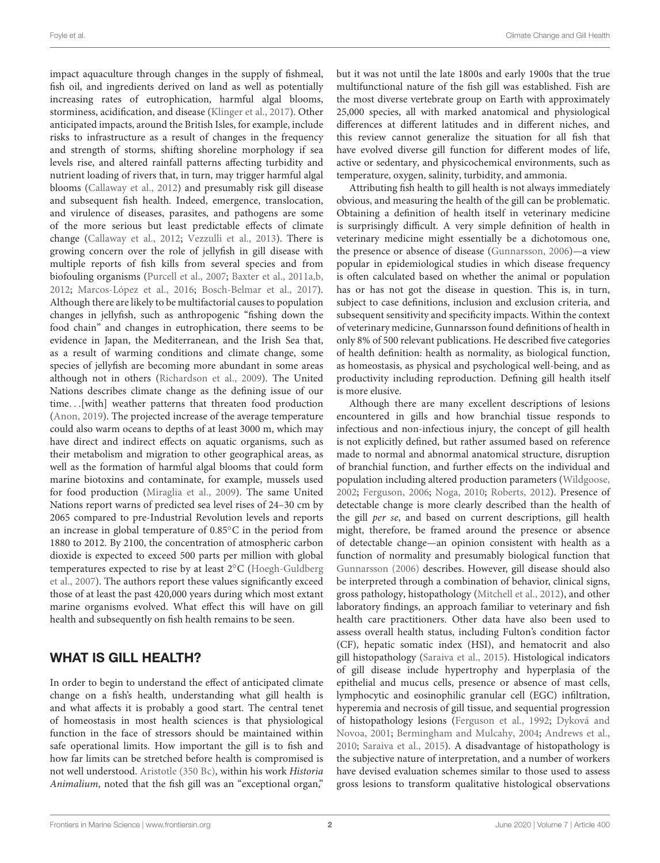impact aquaculture through changes in the supply of fishmeal, fish oil, and ingredients derived on land as well as potentially increasing rates of eutrophication, harmful algal blooms, storminess, acidification, and disease [\(Klinger et al.,](#page-13-4) [2017\)](#page-13-4). Other anticipated impacts, around the British Isles, for example, include risks to infrastructure as a result of changes in the frequency and strength of storms, shifting shoreline morphology if sea levels rise, and altered rainfall patterns affecting turbidity and nutrient loading of rivers that, in turn, may trigger harmful algal blooms [\(Callaway et al.,](#page-11-2) [2012\)](#page-11-2) and presumably risk gill disease and subsequent fish health. Indeed, emergence, translocation, and virulence of diseases, parasites, and pathogens are some of the more serious but least predictable effects of climate change [\(Callaway et al.,](#page-11-2) [2012;](#page-11-2) [Vezzulli et al.,](#page-15-0) [2013\)](#page-15-0). There is growing concern over the role of jellyfish in gill disease with multiple reports of fish kills from several species and from biofouling organisms [\(Purcell et al.,](#page-14-4) [2007;](#page-14-4) [Baxter et al.,](#page-11-3) [2011a,](#page-11-3)[b,](#page-11-4) [2012;](#page-11-5) [Marcos-López et al.,](#page-13-5) [2016;](#page-13-5) [Bosch-Belmar et al.,](#page-11-6) [2017\)](#page-11-6). Although there are likely to be multifactorial causes to population changes in jellyfish, such as anthropogenic "fishing down the food chain" and changes in eutrophication, there seems to be evidence in Japan, the Mediterranean, and the Irish Sea that, as a result of warming conditions and climate change, some species of jellyfish are becoming more abundant in some areas although not in others [\(Richardson et al.,](#page-14-5) [2009\)](#page-14-5). The United Nations describes climate change as the defining issue of our time. . .[with] weather patterns that threaten food production [\(Anon,](#page-11-7) [2019\)](#page-11-7). The projected increase of the average temperature could also warm oceans to depths of at least 3000 m, which may have direct and indirect effects on aquatic organisms, such as their metabolism and migration to other geographical areas, as well as the formation of harmful algal blooms that could form marine biotoxins and contaminate, for example, mussels used for food production [\(Miraglia et al.,](#page-13-6) [2009\)](#page-13-6). The same United Nations report warns of predicted sea level rises of 24–30 cm by 2065 compared to pre-Industrial Revolution levels and reports an increase in global temperature of 0.85◦C in the period from 1880 to 2012. By 2100, the concentration of atmospheric carbon dioxide is expected to exceed 500 parts per million with global temperatures expected to rise by at least 2◦C [\(Hoegh-Guldberg](#page-12-2) [et al.,](#page-12-2) [2007\)](#page-12-2). The authors report these values significantly exceed those of at least the past 420,000 years during which most extant marine organisms evolved. What effect this will have on gill health and subsequently on fish health remains to be seen.

## WHAT IS GILL HEALTH?

In order to begin to understand the effect of anticipated climate change on a fish's health, understanding what gill health is and what affects it is probably a good start. The central tenet of homeostasis in most health sciences is that physiological function in the face of stressors should be maintained within safe operational limits. How important the gill is to fish and how far limits can be stretched before health is compromised is not well understood. [Aristotle](#page-11-8) [\(350 Bc\)](#page-11-8), within his work Historia Animalium, noted that the fish gill was an "exceptional organ,"

but it was not until the late 1800s and early 1900s that the true multifunctional nature of the fish gill was established. Fish are the most diverse vertebrate group on Earth with approximately 25,000 species, all with marked anatomical and physiological differences at different latitudes and in different niches, and this review cannot generalize the situation for all fish that have evolved diverse gill function for different modes of life, active or sedentary, and physicochemical environments, such as temperature, oxygen, salinity, turbidity, and ammonia.

Attributing fish health to gill health is not always immediately obvious, and measuring the health of the gill can be problematic. Obtaining a definition of health itself in veterinary medicine is surprisingly difficult. A very simple definition of health in veterinary medicine might essentially be a dichotomous one, the presence or absence of disease [\(Gunnarsson,](#page-12-3) [2006\)](#page-12-3)—a view popular in epidemiological studies in which disease frequency is often calculated based on whether the animal or population has or has not got the disease in question. This is, in turn, subject to case definitions, inclusion and exclusion criteria, and subsequent sensitivity and specificity impacts. Within the context of veterinary medicine, Gunnarsson found definitions of health in only 8% of 500 relevant publications. He described five categories of health definition: health as normality, as biological function, as homeostasis, as physical and psychological well-being, and as productivity including reproduction. Defining gill health itself is more elusive.

Although there are many excellent descriptions of lesions encountered in gills and how branchial tissue responds to infectious and non-infectious injury, the concept of gill health is not explicitly defined, but rather assumed based on reference made to normal and abnormal anatomical structure, disruption of branchial function, and further effects on the individual and population including altered production parameters [\(Wildgoose,](#page-15-2) [2002;](#page-15-2) [Ferguson,](#page-12-4) [2006;](#page-12-4) [Noga,](#page-13-7) [2010;](#page-13-7) [Roberts,](#page-14-6) [2012\)](#page-14-6). Presence of detectable change is more clearly described than the health of the gill per se, and based on current descriptions, gill health might, therefore, be framed around the presence or absence of detectable change—an opinion consistent with health as a function of normality and presumably biological function that [Gunnarsson](#page-12-3) [\(2006\)](#page-12-3) describes. However, gill disease should also be interpreted through a combination of behavior, clinical signs, gross pathology, histopathology [\(Mitchell et al.,](#page-13-8) [2012\)](#page-13-8), and other laboratory findings, an approach familiar to veterinary and fish health care practitioners. Other data have also been used to assess overall health status, including Fulton's condition factor (CF), hepatic somatic index (HSI), and hematocrit and also gill histopathology [\(Saraiva et al.,](#page-14-7) [2015\)](#page-14-7). Histological indicators of gill disease include hypertrophy and hyperplasia of the epithelial and mucus cells, presence or absence of mast cells, lymphocytic and eosinophilic granular cell (EGC) infiltration, hyperemia and necrosis of gill tissue, and sequential progression of histopathology lesions [\(Ferguson et al.,](#page-12-5) [1992;](#page-12-5) [Dyková and](#page-12-6) [Novoa,](#page-12-6) [2001;](#page-12-6) [Bermingham and Mulcahy,](#page-11-9) [2004;](#page-11-9) [Andrews et al.,](#page-11-10) [2010;](#page-11-10) [Saraiva et al.,](#page-14-7) [2015\)](#page-14-7). A disadvantage of histopathology is the subjective nature of interpretation, and a number of workers have devised evaluation schemes similar to those used to assess gross lesions to transform qualitative histological observations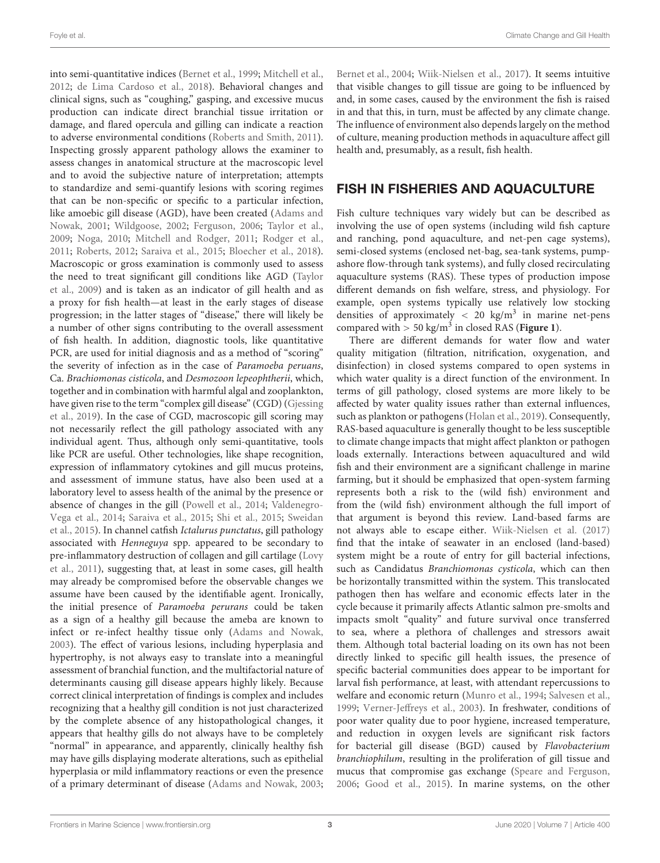into semi-quantitative indices [\(Bernet et al.,](#page-11-11) [1999;](#page-11-11) [Mitchell et al.,](#page-13-8) [2012;](#page-13-8) [de Lima Cardoso et al.,](#page-12-7) [2018\)](#page-12-7). Behavioral changes and clinical signs, such as "coughing," gasping, and excessive mucus production can indicate direct branchial tissue irritation or damage, and flared opercula and gilling can indicate a reaction to adverse environmental conditions [\(Roberts and Smith,](#page-14-8) [2011\)](#page-14-8). Inspecting grossly apparent pathology allows the examiner to assess changes in anatomical structure at the macroscopic level and to avoid the subjective nature of interpretation; attempts to standardize and semi-quantify lesions with scoring regimes that can be non-specific or specific to a particular infection, like amoebic gill disease (AGD), have been created [\(Adams and](#page-11-12) [Nowak,](#page-11-12) [2001;](#page-11-12) [Wildgoose,](#page-15-2) [2002;](#page-15-2) [Ferguson,](#page-12-4) [2006;](#page-12-4) [Taylor et al.,](#page-14-9) [2009;](#page-14-9) [Noga,](#page-13-7) [2010;](#page-13-7) [Mitchell and Rodger,](#page-13-2) [2011;](#page-13-2) [Rodger et al.,](#page-14-2) [2011;](#page-14-2) [Roberts,](#page-14-6) [2012;](#page-14-6) [Saraiva et al.,](#page-14-7) [2015;](#page-14-7) [Bloecher et al.,](#page-11-1) [2018\)](#page-11-1). Macroscopic or gross examination is commonly used to assess the need to treat significant gill conditions like AGD [\(Taylor](#page-14-9) [et al.,](#page-14-9) [2009\)](#page-14-9) and is taken as an indicator of gill health and as a proxy for fish health—at least in the early stages of disease progression; in the latter stages of "disease," there will likely be a number of other signs contributing to the overall assessment of fish health. In addition, diagnostic tools, like quantitative PCR, are used for initial diagnosis and as a method of "scoring" the severity of infection as in the case of Paramoeba peruans, Ca. Brachiomonas cisticola, and Desmozoon lepeophtherii, which, together and in combination with harmful algal and zooplankton, have given rise to the term "complex gill disease" (CGD) [\(Gjessing](#page-12-8) [et al.,](#page-12-8) [2019\)](#page-12-8). In the case of CGD, macroscopic gill scoring may not necessarily reflect the gill pathology associated with any individual agent. Thus, although only semi-quantitative, tools like PCR are useful. Other technologies, like shape recognition, expression of inflammatory cytokines and gill mucus proteins, and assessment of immune status, have also been used at a laboratory level to assess health of the animal by the presence or absence of changes in the gill [\(Powell et al.,](#page-14-10) [2014;](#page-14-10) [Valdenegro-](#page-15-3)[Vega et al.,](#page-15-3) [2014;](#page-15-3) [Saraiva et al.,](#page-14-7) [2015;](#page-14-7) [Shi et al.,](#page-14-3) [2015;](#page-14-3) [Sweidan](#page-14-11) [et al.,](#page-14-11) [2015\)](#page-14-11). In channel catfish Ictalurus punctatus, gill pathology associated with Henneguya spp. appeared to be secondary to pre-inflammatory destruction of collagen and gill cartilage [\(Lovy](#page-13-1) [et al.,](#page-13-1) [2011\)](#page-13-1), suggesting that, at least in some cases, gill health may already be compromised before the observable changes we assume have been caused by the identifiable agent. Ironically, the initial presence of Paramoeba perurans could be taken as a sign of a healthy gill because the ameba are known to infect or re-infect healthy tissue only [\(Adams and Nowak,](#page-11-0) [2003\)](#page-11-0). The effect of various lesions, including hyperplasia and hypertrophy, is not always easy to translate into a meaningful assessment of branchial function, and the multifactorial nature of determinants causing gill disease appears highly likely. Because correct clinical interpretation of findings is complex and includes recognizing that a healthy gill condition is not just characterized by the complete absence of any histopathological changes, it appears that healthy gills do not always have to be completely "normal" in appearance, and apparently, clinically healthy fish may have gills displaying moderate alterations, such as epithelial hyperplasia or mild inflammatory reactions or even the presence of a primary determinant of disease [\(Adams and Nowak,](#page-11-0) [2003;](#page-11-0) [Bernet et al.,](#page-11-13) [2004;](#page-11-13) [Wiik-Nielsen et al.,](#page-15-4) [2017\)](#page-15-4). It seems intuitive that visible changes to gill tissue are going to be influenced by and, in some cases, caused by the environment the fish is raised in and that this, in turn, must be affected by any climate change. The influence of environment also depends largely on the method of culture, meaning production methods in aquaculture affect gill health and, presumably, as a result, fish health.

## FISH IN FISHERIES AND AQUACULTURE

Fish culture techniques vary widely but can be described as involving the use of open systems (including wild fish capture and ranching, pond aquaculture, and net-pen cage systems), semi-closed systems (enclosed net-bag, sea-tank systems, pumpashore flow-through tank systems), and fully closed recirculating aquaculture systems (RAS). These types of production impose different demands on fish welfare, stress, and physiology. For example, open systems typically use relatively low stocking densities of approximately  $<$  20 kg/m<sup>3</sup> in marine net-pens compared with  $> 50 \text{ kg/m}^3$  in closed RAS ([Figure 1](#page-3-0)).

There are different demands for water flow and water quality mitigation (filtration, nitrification, oxygenation, and disinfection) in closed systems compared to open systems in which water quality is a direct function of the environment. In terms of gill pathology, closed systems are more likely to be affected by water quality issues rather than external influences, such as plankton or pathogens [\(Holan et al.,](#page-12-9) [2019\)](#page-12-9). Consequently, RAS-based aquaculture is generally thought to be less susceptible to climate change impacts that might affect plankton or pathogen loads externally. Interactions between aquacultured and wild fish and their environment are a significant challenge in marine farming, but it should be emphasized that open-system farming represents both a risk to the (wild fish) environment and from the (wild fish) environment although the full import of that argument is beyond this review. Land-based farms are not always able to escape either. [Wiik-Nielsen et al.](#page-15-4) [\(2017\)](#page-15-4) find that the intake of seawater in an enclosed (land-based) system might be a route of entry for gill bacterial infections, such as Candidatus Branchiomonas cysticola, which can then be horizontally transmitted within the system. This translocated pathogen then has welfare and economic effects later in the cycle because it primarily affects Atlantic salmon pre-smolts and impacts smolt "quality" and future survival once transferred to sea, where a plethora of challenges and stressors await them. Although total bacterial loading on its own has not been directly linked to specific gill health issues, the presence of specific bacterial communities does appear to be important for larval fish performance, at least, with attendant repercussions to welfare and economic return [\(Munro et al.,](#page-13-9) [1994;](#page-13-9) [Salvesen et al.,](#page-14-12) [1999;](#page-14-12) [Verner-Jeffreys et al.,](#page-15-5) [2003\)](#page-15-5). In freshwater, conditions of poor water quality due to poor hygiene, increased temperature, and reduction in oxygen levels are significant risk factors for bacterial gill disease (BGD) caused by Flavobacterium branchiophilum, resulting in the proliferation of gill tissue and mucus that compromise gas exchange [\(Speare and Ferguson,](#page-14-13) [2006;](#page-14-13) [Good et al.,](#page-12-10) [2015\)](#page-12-10). In marine systems, on the other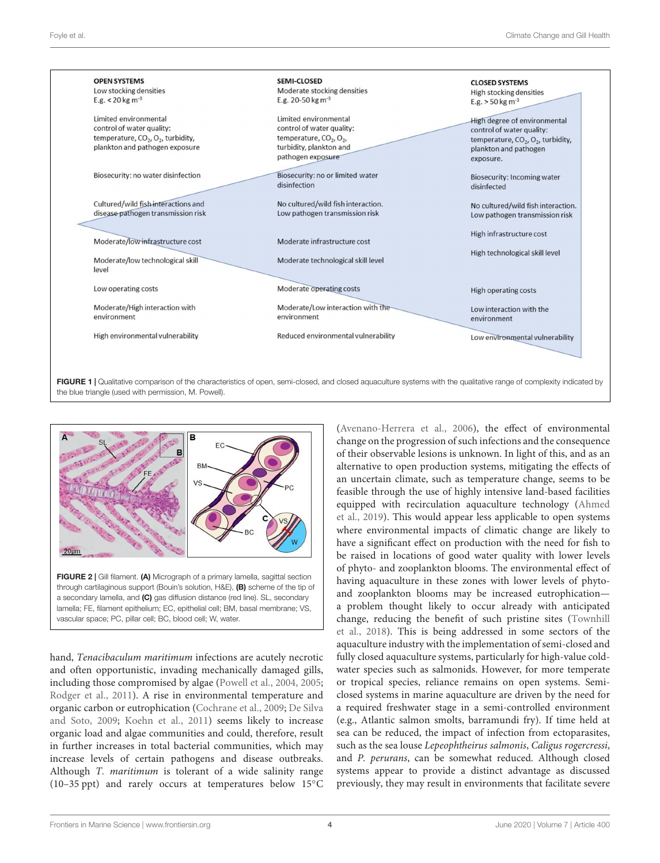

<span id="page-3-0"></span>

<span id="page-3-1"></span>hand, Tenacibaculum maritimum infections are acutely necrotic and often opportunistic, invading mechanically damaged gills, including those compromised by algae [\(Powell et al.,](#page-14-14) [2004,](#page-14-14) [2005;](#page-14-15) [Rodger et al.,](#page-14-2) [2011\)](#page-14-2). A rise in environmental temperature and organic carbon or eutrophication [\(Cochrane et al.,](#page-12-11) [2009;](#page-12-11) [De Silva](#page-12-12) [and Soto,](#page-12-12) [2009;](#page-12-12) [Koehn et al.,](#page-13-10) [2011\)](#page-13-10) seems likely to increase organic load and algae communities and could, therefore, result in further increases in total bacterial communities, which may increase levels of certain pathogens and disease outbreaks. Although T. maritimum is tolerant of a wide salinity range (10–35 ppt) and rarely occurs at temperatures below 15◦C [\(Avenano-Herrera et al.,](#page-11-14) [2006\)](#page-11-14), the effect of environmental change on the progression of such infections and the consequence of their observable lesions is unknown. In light of this, and as an alternative to open production systems, mitigating the effects of an uncertain climate, such as temperature change, seems to be feasible through the use of highly intensive land-based facilities equipped with recirculation aquaculture technology [\(Ahmed](#page-11-15) [et al.,](#page-11-15) [2019\)](#page-11-15). This would appear less applicable to open systems where environmental impacts of climatic change are likely to have a significant effect on production with the need for fish to be raised in locations of good water quality with lower levels of phyto- and zooplankton blooms. The environmental effect of having aquaculture in these zones with lower levels of phytoand zooplankton blooms may be increased eutrophication a problem thought likely to occur already with anticipated change, reducing the benefit of such pristine sites [\(Townhill](#page-14-16) [et al.,](#page-14-16) [2018\)](#page-14-16). This is being addressed in some sectors of the aquaculture industry with the implementation of semi-closed and fully closed aquaculture systems, particularly for high-value coldwater species such as salmonids. However, for more temperate or tropical species, reliance remains on open systems. Semiclosed systems in marine aquaculture are driven by the need for a required freshwater stage in a semi-controlled environment (e.g., Atlantic salmon smolts, barramundi fry). If time held at sea can be reduced, the impact of infection from ectoparasites, such as the sea louse Lepeophtheirus salmonis, Caligus rogercressi, and P. perurans, can be somewhat reduced. Although closed systems appear to provide a distinct advantage as discussed previously, they may result in environments that facilitate severe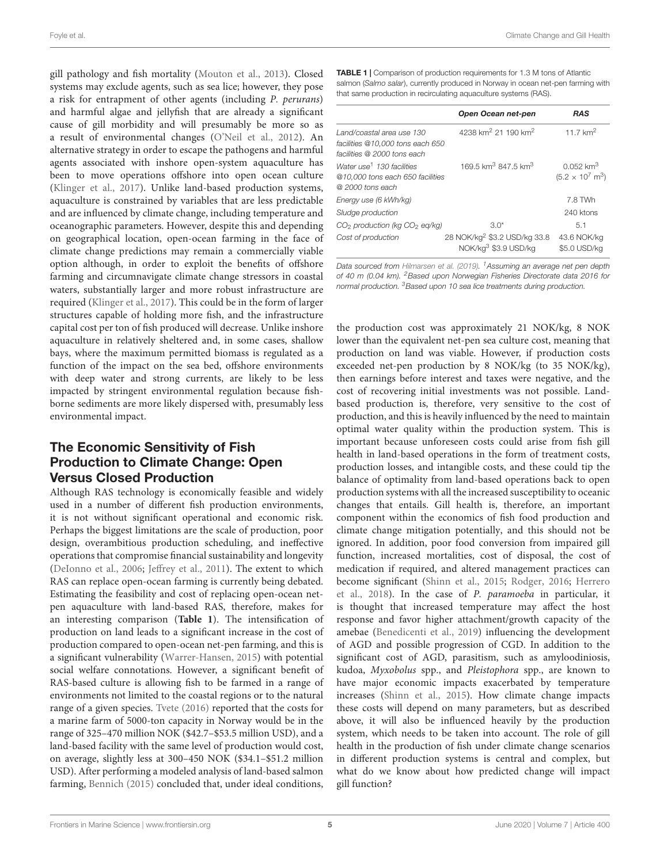Foyle et al. Climate Change and Gill Health

gill pathology and fish mortality [\(Mouton et al.,](#page-13-11) [2013\)](#page-13-11). Closed systems may exclude agents, such as sea lice; however, they pose a risk for entrapment of other agents (including P. perurans) and harmful algae and jellyfish that are already a significant cause of gill morbidity and will presumably be more so as a result of environmental changes [\(O'Neil et al.,](#page-14-17) [2012\)](#page-14-17). An alternative strategy in order to escape the pathogens and harmful agents associated with inshore open-system aquaculture has been to move operations offshore into open ocean culture [\(Klinger et al.,](#page-13-4) [2017\)](#page-13-4). Unlike land-based production systems, aquaculture is constrained by variables that are less predictable and are influenced by climate change, including temperature and oceanographic parameters. However, despite this and depending on geographical location, open-ocean farming in the face of climate change predictions may remain a commercially viable option although, in order to exploit the benefits of offshore farming and circumnavigate climate change stressors in coastal waters, substantially larger and more robust infrastructure are required [\(Klinger et al.,](#page-13-4) [2017\)](#page-13-4). This could be in the form of larger structures capable of holding more fish, and the infrastructure capital cost per ton of fish produced will decrease. Unlike inshore aquaculture in relatively sheltered and, in some cases, shallow bays, where the maximum permitted biomass is regulated as a function of the impact on the sea bed, offshore environments with deep water and strong currents, are likely to be less impacted by stringent environmental regulation because fishborne sediments are more likely dispersed with, presumably less environmental impact.

# The Economic Sensitivity of Fish Production to Climate Change: Open Versus Closed Production

Although RAS technology is economically feasible and widely used in a number of different fish production environments, it is not without significant operational and economic risk. Perhaps the biggest limitations are the scale of production, poor design, overambitious production scheduling, and ineffective operations that compromise financial sustainability and longevity [\(DeIonno et al.,](#page-12-13) [2006;](#page-12-13) [Jeffrey et al.,](#page-13-12) [2011\)](#page-13-12). The extent to which RAS can replace open-ocean farming is currently being debated. Estimating the feasibility and cost of replacing open-ocean netpen aquaculture with land-based RAS, therefore, makes for an interesting comparison (**[Table 1](#page-4-0)**). The intensification of production on land leads to a significant increase in the cost of production compared to open-ocean net-pen farming, and this is a significant vulnerability [\(Warrer-Hansen,](#page-15-6) [2015\)](#page-15-6) with potential social welfare connotations. However, a significant benefit of RAS-based culture is allowing fish to be farmed in a range of environments not limited to the coastal regions or to the natural range of a given species. [Tvete](#page-15-7) [\(2016\)](#page-15-7) reported that the costs for a marine farm of 5000-ton capacity in Norway would be in the range of 325–470 million NOK (\$42.7–\$53.5 million USD), and a land-based facility with the same level of production would cost, on average, slightly less at 300–450 NOK (\$34.1–\$51.2 million USD). After performing a modeled analysis of land-based salmon farming, [Bennich](#page-11-16) [\(2015\)](#page-11-16) concluded that, under ideal conditions,

<span id="page-4-0"></span>TABLE 1 | Comparison of production requirements for 1.3 M tons of Atlantic salmon (Salmo salar), currently produced in Norway in ocean net-pen farming with that same production in recirculating aquaculture systems (RAS).

|                                                                                               | Open Ocean net-pen                                               | <b>RAS</b>                                                 |
|-----------------------------------------------------------------------------------------------|------------------------------------------------------------------|------------------------------------------------------------|
| Land/coastal area use 130<br>facilities @10.000 tons each 650<br>facilities @ 2000 tons each  | 4238 km <sup>2</sup> 21 190 km <sup>2</sup>                      | 11 7 $km^2$                                                |
| Water use <sup>1</sup> 130 facilities<br>@10,000 tons each 650 facilities<br>@ 2000 tons each | 169.5 km <sup>3</sup> 847.5 km <sup>3</sup>                      | $0.052$ km <sup>3</sup><br>$(5.2 \times 10^7 \text{ m}^3)$ |
| Energy use (6 kWh/kg)                                                                         |                                                                  | 7.8 TWh                                                    |
| Sludge production                                                                             |                                                                  | 240 ktons                                                  |
| CO <sub>2</sub> production (kg CO <sub>2</sub> eq/kg)                                         | $3.0*$                                                           | 5.1                                                        |
| Cost of production                                                                            | 28 NOK/kg <sup>2</sup> \$3.2 USD/kg 33.8<br>NOK/kg3 \$3.9 USD/kg | 43.6 NOK/kg<br>\$5.0 USD/kg                                |

Data sourced from [Hilmarsen et al.](#page-12-14) [\(2019\)](#page-12-14). <sup>1</sup>Assuming an average net pen depth of 40 m (0.04 km). <sup>2</sup>Based upon Norwegian Fisheries Directorate data 2016 for normal production. <sup>3</sup> Based upon 10 sea lice treatments during production.

the production cost was approximately 21 NOK/kg, 8 NOK lower than the equivalent net-pen sea culture cost, meaning that production on land was viable. However, if production costs exceeded net-pen production by 8 NOK/kg (to 35 NOK/kg), then earnings before interest and taxes were negative, and the cost of recovering initial investments was not possible. Landbased production is, therefore, very sensitive to the cost of production, and this is heavily influenced by the need to maintain optimal water quality within the production system. This is important because unforeseen costs could arise from fish gill health in land-based operations in the form of treatment costs, production losses, and intangible costs, and these could tip the balance of optimality from land-based operations back to open production systems with all the increased susceptibility to oceanic changes that entails. Gill health is, therefore, an important component within the economics of fish food production and climate change mitigation potentially, and this should not be ignored. In addition, poor food conversion from impaired gill function, increased mortalities, cost of disposal, the cost of medication if required, and altered management practices can become significant [\(Shinn et al.,](#page-14-18) [2015;](#page-14-18) [Rodger,](#page-14-19) [2016;](#page-14-19) [Herrero](#page-12-1) [et al.,](#page-12-1) [2018\)](#page-12-1). In the case of P. paramoeba in particular, it is thought that increased temperature may affect the host response and favor higher attachment/growth capacity of the amebae [\(Benedicenti et al.,](#page-11-17) [2019\)](#page-11-17) influencing the development of AGD and possible progression of CGD. In addition to the significant cost of AGD, parasitism, such as amyloodiniosis, kudoa, Myxobolus spp., and Pleistophora spp., are known to have major economic impacts exacerbated by temperature increases [\(Shinn et al.,](#page-14-18) [2015\)](#page-14-18). How climate change impacts these costs will depend on many parameters, but as described above, it will also be influenced heavily by the production system, which needs to be taken into account. The role of gill health in the production of fish under climate change scenarios in different production systems is central and complex, but what do we know about how predicted change will impact gill function?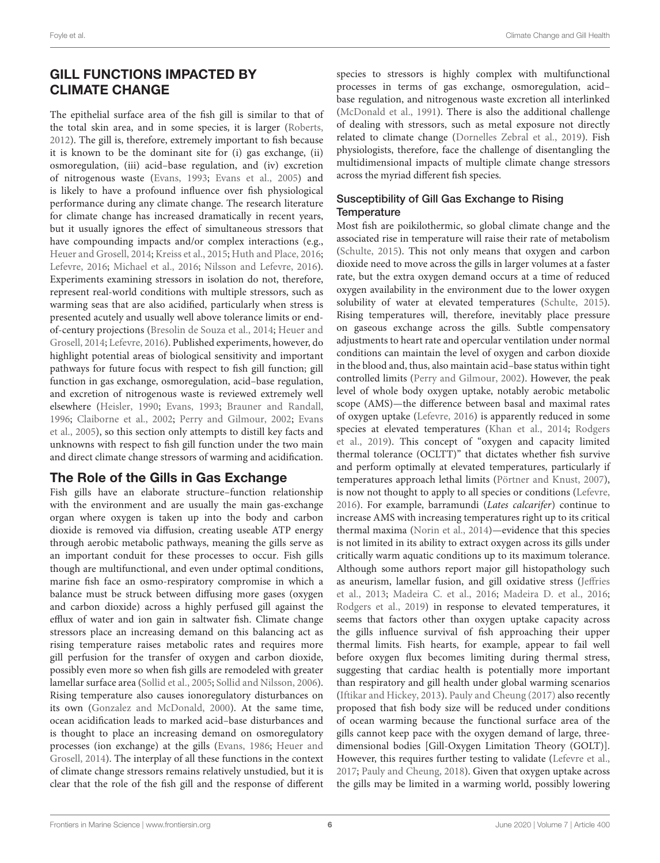# GILL FUNCTIONS IMPACTED BY CLIMATE CHANGE

The epithelial surface area of the fish gill is similar to that of the total skin area, and in some species, it is larger [\(Roberts,](#page-14-6) [2012\)](#page-14-6). The gill is, therefore, extremely important to fish because it is known to be the dominant site for (i) gas exchange, (ii) osmoregulation, (iii) acid–base regulation, and (iv) excretion of nitrogenous waste [\(Evans,](#page-12-15) [1993;](#page-12-15) [Evans et al.,](#page-12-16) [2005\)](#page-12-16) and is likely to have a profound influence over fish physiological performance during any climate change. The research literature for climate change has increased dramatically in recent years, but it usually ignores the effect of simultaneous stressors that have compounding impacts and/or complex interactions (e.g., [Heuer and Grosell,](#page-12-17) [2014;](#page-12-17) [Kreiss et al.,](#page-13-13) [2015;](#page-13-13) [Huth and Place,](#page-12-18) [2016;](#page-12-18) [Lefevre,](#page-13-14) [2016;](#page-13-14) [Michael et al.,](#page-13-15) [2016;](#page-13-15) [Nilsson and Lefevre,](#page-13-16) [2016\)](#page-13-16). Experiments examining stressors in isolation do not, therefore, represent real-world conditions with multiple stressors, such as warming seas that are also acidified, particularly when stress is presented acutely and usually well above tolerance limits or endof-century projections [\(Bresolin de Souza et al.,](#page-11-18) [2014;](#page-11-18) [Heuer and](#page-12-17) [Grosell,](#page-12-17) [2014;](#page-12-17) [Lefevre,](#page-13-14) [2016\)](#page-13-14). Published experiments, however, do highlight potential areas of biological sensitivity and important pathways for future focus with respect to fish gill function; gill function in gas exchange, osmoregulation, acid–base regulation, and excretion of nitrogenous waste is reviewed extremely well elsewhere [\(Heisler,](#page-12-19) [1990;](#page-12-19) [Evans,](#page-12-15) [1993;](#page-12-15) [Brauner and Randall,](#page-11-19) [1996;](#page-11-19) [Claiborne et al.,](#page-12-20) [2002;](#page-12-20) [Perry and Gilmour,](#page-14-20) [2002;](#page-14-20) [Evans](#page-12-16) [et al.,](#page-12-16) [2005\)](#page-12-16), so this section only attempts to distill key facts and unknowns with respect to fish gill function under the two main and direct climate change stressors of warming and acidification.

## The Role of the Gills in Gas Exchange

Fish gills have an elaborate structure–function relationship with the environment and are usually the main gas-exchange organ where oxygen is taken up into the body and carbon dioxide is removed via diffusion, creating useable ATP energy through aerobic metabolic pathways, meaning the gills serve as an important conduit for these processes to occur. Fish gills though are multifunctional, and even under optimal conditions, marine fish face an osmo-respiratory compromise in which a balance must be struck between diffusing more gases (oxygen and carbon dioxide) across a highly perfused gill against the efflux of water and ion gain in saltwater fish. Climate change stressors place an increasing demand on this balancing act as rising temperature raises metabolic rates and requires more gill perfusion for the transfer of oxygen and carbon dioxide, possibly even more so when fish gills are remodeled with greater lamellar surface area [\(Sollid et al.,](#page-14-21) [2005;](#page-14-21) [Sollid and Nilsson,](#page-14-22) [2006\)](#page-14-22). Rising temperature also causes ionoregulatory disturbances on its own [\(Gonzalez and McDonald,](#page-12-21) [2000\)](#page-12-21). At the same time, ocean acidification leads to marked acid–base disturbances and is thought to place an increasing demand on osmoregulatory processes (ion exchange) at the gills [\(Evans,](#page-12-22) [1986;](#page-12-22) [Heuer and](#page-12-17) [Grosell,](#page-12-17) [2014\)](#page-12-17). The interplay of all these functions in the context of climate change stressors remains relatively unstudied, but it is clear that the role of the fish gill and the response of different

species to stressors is highly complex with multifunctional processes in terms of gas exchange, osmoregulation, acid– base regulation, and nitrogenous waste excretion all interlinked [\(McDonald et al.,](#page-13-17) [1991\)](#page-13-17). There is also the additional challenge of dealing with stressors, such as metal exposure not directly related to climate change [\(Dornelles Zebral et al.,](#page-12-23) [2019\)](#page-12-23). Fish physiologists, therefore, face the challenge of disentangling the multidimensional impacts of multiple climate change stressors across the myriad different fish species.

#### Susceptibility of Gill Gas Exchange to Rising **Temperature**

Most fish are poikilothermic, so global climate change and the associated rise in temperature will raise their rate of metabolism [\(Schulte,](#page-14-23) [2015\)](#page-14-23). This not only means that oxygen and carbon dioxide need to move across the gills in larger volumes at a faster rate, but the extra oxygen demand occurs at a time of reduced oxygen availability in the environment due to the lower oxygen solubility of water at elevated temperatures [\(Schulte,](#page-14-23) [2015\)](#page-14-23). Rising temperatures will, therefore, inevitably place pressure on gaseous exchange across the gills. Subtle compensatory adjustments to heart rate and opercular ventilation under normal conditions can maintain the level of oxygen and carbon dioxide in the blood and, thus, also maintain acid–base status within tight controlled limits [\(Perry and Gilmour,](#page-14-20) [2002\)](#page-14-20). However, the peak level of whole body oxygen uptake, notably aerobic metabolic scope (AMS)—the difference between basal and maximal rates of oxygen uptake [\(Lefevre,](#page-13-14) [2016\)](#page-13-14) is apparently reduced in some species at elevated temperatures [\(Khan et al.,](#page-13-18) [2014;](#page-13-18) [Rodgers](#page-14-24) [et al.,](#page-14-24) [2019\)](#page-14-24). This concept of "oxygen and capacity limited thermal tolerance (OCLTT)" that dictates whether fish survive and perform optimally at elevated temperatures, particularly if temperatures approach lethal limits [\(Pörtner and Knust,](#page-14-25) [2007\)](#page-14-25), is now not thought to apply to all species or conditions [\(Lefevre,](#page-13-14) [2016\)](#page-13-14). For example, barramundi (Lates calcarifer) continue to increase AMS with increasing temperatures right up to its critical thermal maxima [\(Norin et al.,](#page-13-19) [2014\)](#page-13-19)—evidence that this species is not limited in its ability to extract oxygen across its gills under critically warm aquatic conditions up to its maximum tolerance. Although some authors report major gill histopathology such as aneurism, lamellar fusion, and gill oxidative stress [\(Jeffries](#page-13-20) [et al.,](#page-13-20) [2013;](#page-13-20) [Madeira C. et al.,](#page-13-21) [2016;](#page-13-21) [Madeira D. et al.,](#page-13-22) [2016;](#page-13-22) [Rodgers et al.,](#page-14-24) [2019\)](#page-14-24) in response to elevated temperatures, it seems that factors other than oxygen uptake capacity across the gills influence survival of fish approaching their upper thermal limits. Fish hearts, for example, appear to fail well before oxygen flux becomes limiting during thermal stress, suggesting that cardiac health is potentially more important than respiratory and gill health under global warming scenarios [\(Iftikar and Hickey,](#page-13-23) [2013\)](#page-13-23). [Pauly and Cheung](#page-14-26) [\(2017\)](#page-14-26) also recently proposed that fish body size will be reduced under conditions of ocean warming because the functional surface area of the gills cannot keep pace with the oxygen demand of large, threedimensional bodies [Gill-Oxygen Limitation Theory (GOLT)]. However, this requires further testing to validate [\(Lefevre et al.,](#page-13-24) [2017;](#page-13-24) [Pauly and Cheung,](#page-14-27) [2018\)](#page-14-27). Given that oxygen uptake across the gills may be limited in a warming world, possibly lowering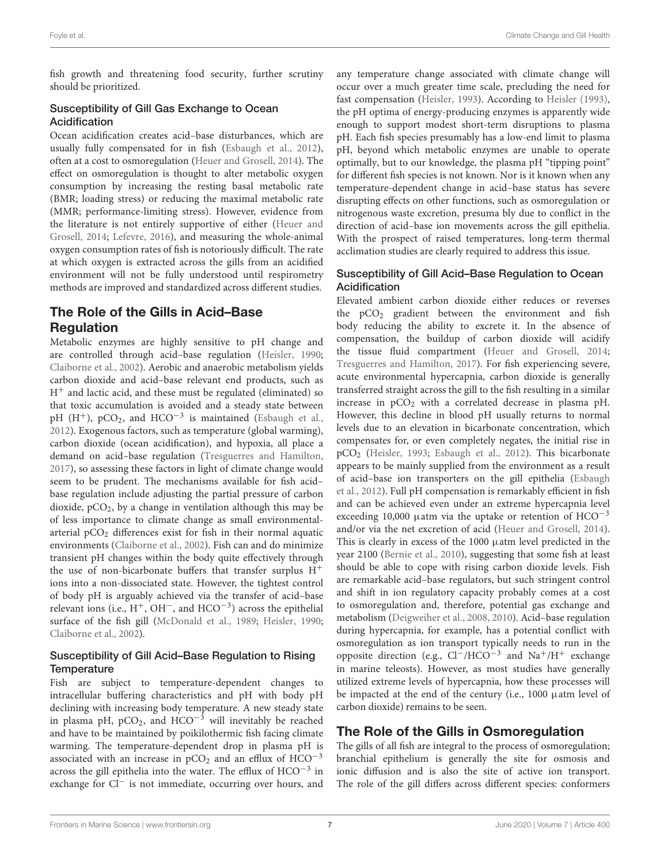fish growth and threatening food security, further scrutiny should be prioritized.

#### Susceptibility of Gill Gas Exchange to Ocean Acidification

Ocean acidification creates acid–base disturbances, which are usually fully compensated for in fish [\(Esbaugh et al.,](#page-12-24) [2012\)](#page-12-24), often at a cost to osmoregulation [\(Heuer and Grosell,](#page-12-17) [2014\)](#page-12-17). The effect on osmoregulation is thought to alter metabolic oxygen consumption by increasing the resting basal metabolic rate (BMR; loading stress) or reducing the maximal metabolic rate (MMR; performance-limiting stress). However, evidence from the literature is not entirely supportive of either [\(Heuer and](#page-12-17) [Grosell,](#page-12-17) [2014;](#page-12-17) [Lefevre,](#page-13-14) [2016\)](#page-13-14), and measuring the whole-animal oxygen consumption rates of fish is notoriously difficult. The rate at which oxygen is extracted across the gills from an acidified environment will not be fully understood until respirometry methods are improved and standardized across different studies.

## The Role of the Gills in Acid–Base Regulation

Metabolic enzymes are highly sensitive to pH change and are controlled through acid–base regulation [\(Heisler,](#page-12-19) [1990;](#page-12-19) [Claiborne et al.,](#page-12-20) [2002\)](#page-12-20). Aerobic and anaerobic metabolism yields carbon dioxide and acid–base relevant end products, such as  $H^+$  and lactic acid, and these must be regulated (eliminated) so that toxic accumulation is avoided and a steady state between pH (H<sup>+</sup>), pCO<sub>2</sub>, and HCO<sup>-3</sup> is maintained [\(Esbaugh et al.,](#page-12-24) [2012\)](#page-12-24). Exogenous factors, such as temperature (global warming), carbon dioxide (ocean acidification), and hypoxia, all place a demand on acid–base regulation [\(Tresguerres and Hamilton,](#page-15-8) [2017\)](#page-15-8), so assessing these factors in light of climate change would seem to be prudent. The mechanisms available for fish acid– base regulation include adjusting the partial pressure of carbon dioxide,  $pCO<sub>2</sub>$ , by a change in ventilation although this may be of less importance to climate change as small environmentalarterial pCO<sub>2</sub> differences exist for fish in their normal aquatic environments [\(Claiborne et al.,](#page-12-20) [2002\)](#page-12-20). Fish can and do minimize transient pH changes within the body quite effectively through the use of non-bicarbonate buffers that transfer surplus  $H^+$ ions into a non-dissociated state. However, the tightest control of body pH is arguably achieved via the transfer of acid–base relevant ions (i.e.,  $H^{+}$ , OH<sup>-</sup>, and HCO<sup>-3</sup>) across the epithelial surface of the fish gill [\(McDonald et al.,](#page-13-25) [1989;](#page-13-25) [Heisler,](#page-12-19) [1990;](#page-12-19) [Claiborne et al.,](#page-12-20) [2002\)](#page-12-20).

#### Susceptibility of Gill Acid–Base Regulation to Rising **Temperature**

Fish are subject to temperature-dependent changes to intracellular buffering characteristics and pH with body pH declining with increasing body temperature. A new steady state in plasma pH, pCO<sub>2</sub>, and HCO<sup>-3</sup> will inevitably be reached and have to be maintained by poikilothermic fish facing climate warming. The temperature-dependent drop in plasma pH is associated with an increase in  $pCO<sub>2</sub>$  and an efflux of  $HCO<sup>-3</sup>$ across the gill epithelia into the water. The efflux of HCO−<sup>3</sup> in exchange for Cl<sup>−</sup> is not immediate, occurring over hours, and

any temperature change associated with climate change will occur over a much greater time scale, precluding the need for fast compensation [\(Heisler,](#page-12-25) [1993\)](#page-12-25). According to [Heisler](#page-12-25) [\(1993\)](#page-12-25), the pH optima of energy-producing enzymes is apparently wide enough to support modest short-term disruptions to plasma pH. Each fish species presumably has a low-end limit to plasma pH, beyond which metabolic enzymes are unable to operate optimally, but to our knowledge, the plasma pH "tipping point" for different fish species is not known. Nor is it known when any temperature-dependent change in acid–base status has severe disrupting effects on other functions, such as osmoregulation or nitrogenous waste excretion, presuma bly due to conflict in the direction of acid–base ion movements across the gill epithelia. With the prospect of raised temperatures, long-term thermal acclimation studies are clearly required to address this issue.

#### Susceptibility of Gill Acid–Base Regulation to Ocean Acidification

Elevated ambient carbon dioxide either reduces or reverses the  $pCO<sub>2</sub>$  gradient between the environment and fish body reducing the ability to excrete it. In the absence of compensation, the buildup of carbon dioxide will acidify the tissue fluid compartment [\(Heuer and Grosell,](#page-12-17) [2014;](#page-12-17) [Tresguerres and Hamilton,](#page-15-8) [2017\)](#page-15-8). For fish experiencing severe, acute environmental hypercapnia, carbon dioxide is generally transferred straight across the gill to the fish resulting in a similar increase in  $pCO<sub>2</sub>$  with a correlated decrease in plasma pH. However, this decline in blood pH usually returns to normal levels due to an elevation in bicarbonate concentration, which compensates for, or even completely negates, the initial rise in pCO<sup>2</sup> [\(Heisler,](#page-12-25) [1993;](#page-12-25) [Esbaugh et al.,](#page-12-24) [2012\)](#page-12-24). This bicarbonate appears to be mainly supplied from the environment as a result of acid–base ion transporters on the gill epithelia [\(Esbaugh](#page-12-24) [et al.,](#page-12-24) [2012\)](#page-12-24). Full pH compensation is remarkably efficient in fish and can be achieved even under an extreme hypercapnia level exceeding 10,000 µatm via the uptake or retention of  $HCO^{-3}$ and/or via the net excretion of acid [\(Heuer and Grosell,](#page-12-17) [2014\)](#page-12-17). This is clearly in excess of the 1000 µatm level predicted in the year 2100 [\(Bernie et al.,](#page-11-20) [2010\)](#page-11-20), suggesting that some fish at least should be able to cope with rising carbon dioxide levels. Fish are remarkable acid–base regulators, but such stringent control and shift in ion regulatory capacity probably comes at a cost to osmoregulation and, therefore, potential gas exchange and metabolism [\(Deigweiher et al.,](#page-12-26) [2008,](#page-12-26) [2010\)](#page-12-27). Acid–base regulation during hypercapnia, for example, has a potential conflict with osmoregulation as ion transport typically needs to run in the opposite direction (e.g., Cl−/HCO−<sup>3</sup> and Na+/H<sup>+</sup> exchange in marine teleosts). However, as most studies have generally utilized extreme levels of hypercapnia, how these processes will be impacted at the end of the century (i.e., 1000 µatm level of carbon dioxide) remains to be seen.

## The Role of the Gills in Osmoregulation

The gills of all fish are integral to the process of osmoregulation; branchial epithelium is generally the site for osmosis and ionic diffusion and is also the site of active ion transport. The role of the gill differs across different species: conformers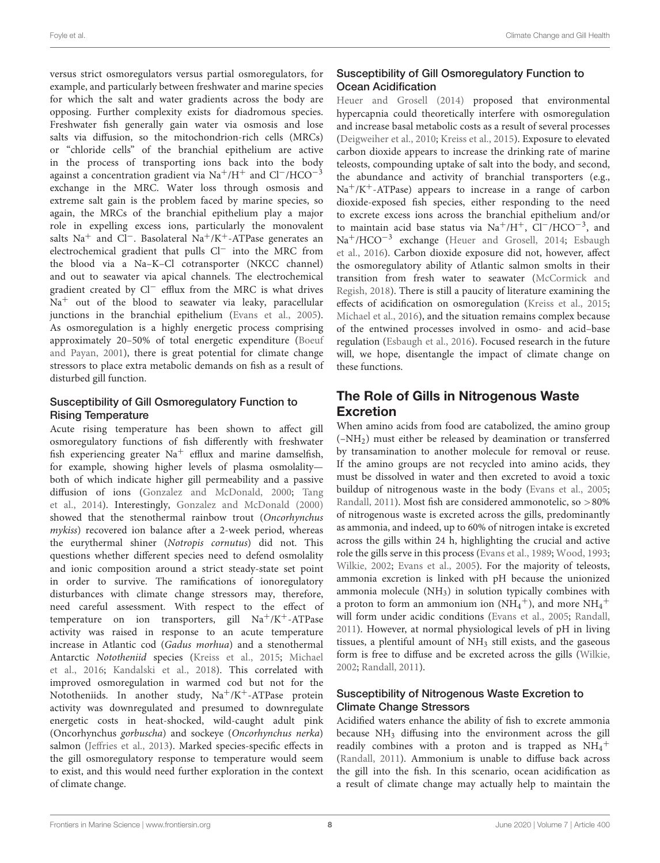versus strict osmoregulators versus partial osmoregulators, for example, and particularly between freshwater and marine species for which the salt and water gradients across the body are opposing. Further complexity exists for diadromous species. Freshwater fish generally gain water via osmosis and lose salts via diffusion, so the mitochondrion-rich cells (MRCs) or "chloride cells" of the branchial epithelium are active in the process of transporting ions back into the body against a concentration gradient via Na<sup>+</sup>/H<sup>+</sup> and Cl<sup>−</sup>/HCO<sup>-3</sup> exchange in the MRC. Water loss through osmosis and extreme salt gain is the problem faced by marine species, so again, the MRCs of the branchial epithelium play a major role in expelling excess ions, particularly the monovalent salts Na<sup>+</sup> and Cl<sup>−</sup>. Basolateral Na<sup>+</sup>/K<sup>+</sup>-ATPase generates an electrochemical gradient that pulls Cl<sup>−</sup> into the MRC from the blood via a Na–K–Cl cotransporter (NKCC channel) and out to seawater via apical channels. The electrochemical gradient created by Cl<sup>−</sup> efflux from the MRC is what drives  $Na<sup>+</sup>$  out of the blood to seawater via leaky, paracellular junctions in the branchial epithelium [\(Evans et al.,](#page-12-16) [2005\)](#page-12-16). As osmoregulation is a highly energetic process comprising approximately 20–50% of total energetic expenditure [\(Boeuf](#page-11-21) [and Payan,](#page-11-21) [2001\)](#page-11-21), there is great potential for climate change stressors to place extra metabolic demands on fish as a result of disturbed gill function.

#### Susceptibility of Gill Osmoregulatory Function to Rising Temperature

Acute rising temperature has been shown to affect gill osmoregulatory functions of fish differently with freshwater fish experiencing greater  $Na^+$  efflux and marine damselfish, for example, showing higher levels of plasma osmolality both of which indicate higher gill permeability and a passive diffusion of ions [\(Gonzalez and McDonald,](#page-12-21) [2000;](#page-12-21) [Tang](#page-14-28) [et al.,](#page-14-28) [2014\)](#page-14-28). Interestingly, [Gonzalez and McDonald](#page-12-21) [\(2000\)](#page-12-21) showed that the stenothermal rainbow trout (Oncorhynchus mykiss) recovered ion balance after a 2-week period, whereas the eurythermal shiner (Notropis cornutus) did not. This questions whether different species need to defend osmolality and ionic composition around a strict steady-state set point in order to survive. The ramifications of ionoregulatory disturbances with climate change stressors may, therefore, need careful assessment. With respect to the effect of temperature on ion transporters, gill  $Na^+/K^+$ -ATPase activity was raised in response to an acute temperature increase in Atlantic cod (Gadus morhua) and a stenothermal Antarctic Nototheniid species [\(Kreiss et al.,](#page-13-13) [2015;](#page-13-13) [Michael](#page-13-15) [et al.,](#page-13-15) [2016;](#page-13-15) [Kandalski et al.,](#page-13-26) [2018\)](#page-13-26). This correlated with improved osmoregulation in warmed cod but not for the Nototheniids. In another study,  $Na^+/K^+$ -ATPase protein activity was downregulated and presumed to downregulate energetic costs in heat-shocked, wild-caught adult pink (Oncorhynchus gorbuscha) and sockeye (Oncorhynchus nerka) salmon [\(Jeffries et al.,](#page-13-20) [2013\)](#page-13-20). Marked species-specific effects in the gill osmoregulatory response to temperature would seem to exist, and this would need further exploration in the context of climate change.

### Susceptibility of Gill Osmoregulatory Function to Ocean Acidification

[Heuer and Grosell](#page-12-17) [\(2014\)](#page-12-17) proposed that environmental hypercapnia could theoretically interfere with osmoregulation and increase basal metabolic costs as a result of several processes [\(Deigweiher et al.,](#page-12-27) [2010;](#page-12-27) [Kreiss et al.,](#page-13-13) [2015\)](#page-13-13). Exposure to elevated carbon dioxide appears to increase the drinking rate of marine teleosts, compounding uptake of salt into the body, and second, the abundance and activity of branchial transporters (e.g.,  $Na^{+}/K^{+}$ -ATPase) appears to increase in a range of carbon dioxide-exposed fish species, either responding to the need to excrete excess ions across the branchial epithelium and/or to maintain acid base status via Na+/H+, Cl−/HCO−<sup>3</sup> , and Na<sup>+</sup>/HCO<sup>-3</sup> exchange [\(Heuer and Grosell,](#page-12-17) [2014;](#page-12-17) [Esbaugh](#page-12-28) [et al.,](#page-12-28) [2016\)](#page-12-28). Carbon dioxide exposure did not, however, affect the osmoregulatory ability of Atlantic salmon smolts in their transition from fresh water to seawater [\(McCormick and](#page-13-27) [Regish,](#page-13-27) [2018\)](#page-13-27). There is still a paucity of literature examining the effects of acidification on osmoregulation [\(Kreiss et al.,](#page-13-13) [2015;](#page-13-13) [Michael et al.,](#page-13-15) [2016\)](#page-13-15), and the situation remains complex because of the entwined processes involved in osmo- and acid–base regulation [\(Esbaugh et al.,](#page-12-28) [2016\)](#page-12-28). Focused research in the future will, we hope, disentangle the impact of climate change on these functions.

## The Role of Gills in Nitrogenous Waste Excretion

When amino acids from food are catabolized, the amino group (–NH2) must either be released by deamination or transferred by transamination to another molecule for removal or reuse. If the amino groups are not recycled into amino acids, they must be dissolved in water and then excreted to avoid a toxic buildup of nitrogenous waste in the body [\(Evans et al.,](#page-12-16) [2005;](#page-12-16) [Randall,](#page-14-29) [2011\)](#page-14-29). Most fish are considered ammonotelic, so >80% of nitrogenous waste is excreted across the gills, predominantly as ammonia, and indeed, up to 60% of nitrogen intake is excreted across the gills within 24 h, highlighting the crucial and active role the gills serve in this process [\(Evans et al.,](#page-12-29) [1989;](#page-12-29) [Wood,](#page-15-9) [1993;](#page-15-9) [Wilkie,](#page-15-10) [2002;](#page-15-10) [Evans et al.,](#page-12-16) [2005\)](#page-12-16). For the majority of teleosts, ammonia excretion is linked with pH because the unionized ammonia molecule  $(NH_3)$  in solution typically combines with a proton to form an ammonium ion  $(N\dot{H}_4^+)$ , and more  $NH_4^+$ will form under acidic conditions [\(Evans et al.,](#page-12-16) [2005;](#page-12-16) [Randall,](#page-14-29) [2011\)](#page-14-29). However, at normal physiological levels of pH in living tissues, a plentiful amount of  $NH<sub>3</sub>$  still exists, and the gaseous form is free to diffuse and be excreted across the gills [\(Wilkie,](#page-15-10) [2002;](#page-15-10) [Randall,](#page-14-29) [2011\)](#page-14-29).

### Susceptibility of Nitrogenous Waste Excretion to Climate Change Stressors

Acidified waters enhance the ability of fish to excrete ammonia because NH<sup>3</sup> diffusing into the environment across the gill readily combines with a proton and is trapped as  $NH_4^+$ [\(Randall,](#page-14-29) [2011\)](#page-14-29). Ammonium is unable to diffuse back across the gill into the fish. In this scenario, ocean acidification as a result of climate change may actually help to maintain the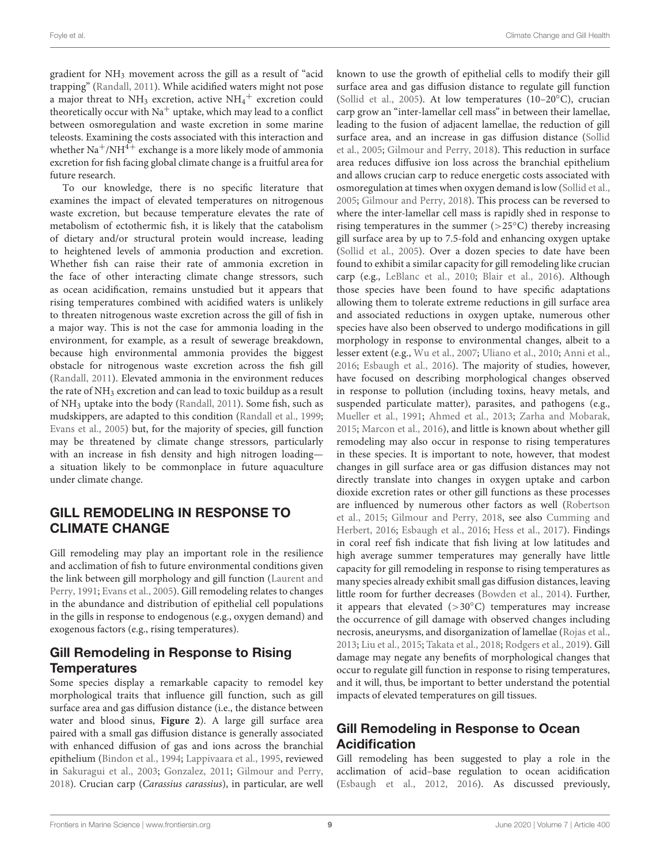gradient for NH<sup>3</sup> movement across the gill as a result of "acid trapping" [\(Randall,](#page-14-29) [2011\)](#page-14-29). While acidified waters might not pose a major threat to  $NH_3$  excretion, active  $NH_4$ <sup>+</sup> excretion could theoretically occur with  $Na<sup>+</sup>$  uptake, which may lead to a conflict between osmoregulation and waste excretion in some marine teleosts. Examining the costs associated with this interaction and whether  $\mathrm{Na^+}/\mathrm{NH^{4+}}$  exchange is a more likely mode of ammonia excretion for fish facing global climate change is a fruitful area for future research.

To our knowledge, there is no specific literature that examines the impact of elevated temperatures on nitrogenous waste excretion, but because temperature elevates the rate of metabolism of ectothermic fish, it is likely that the catabolism of dietary and/or structural protein would increase, leading to heightened levels of ammonia production and excretion. Whether fish can raise their rate of ammonia excretion in the face of other interacting climate change stressors, such as ocean acidification, remains unstudied but it appears that rising temperatures combined with acidified waters is unlikely to threaten nitrogenous waste excretion across the gill of fish in a major way. This is not the case for ammonia loading in the environment, for example, as a result of sewerage breakdown, because high environmental ammonia provides the biggest obstacle for nitrogenous waste excretion across the fish gill [\(Randall,](#page-14-29) [2011\)](#page-14-29). Elevated ammonia in the environment reduces the rate of NH<sup>3</sup> excretion and can lead to toxic buildup as a result of NH<sup>3</sup> uptake into the body [\(Randall,](#page-14-29) [2011\)](#page-14-29). Some fish, such as mudskippers, are adapted to this condition [\(Randall et al.,](#page-14-30) [1999;](#page-14-30) [Evans et al.,](#page-12-16) [2005\)](#page-12-16) but, for the majority of species, gill function may be threatened by climate change stressors, particularly with an increase in fish density and high nitrogen loading a situation likely to be commonplace in future aquaculture under climate change.

## GILL REMODELING IN RESPONSE TO CLIMATE CHANGE

Gill remodeling may play an important role in the resilience and acclimation of fish to future environmental conditions given the link between gill morphology and gill function [\(Laurent and](#page-13-28) [Perry,](#page-13-28) [1991;](#page-13-28) [Evans et al.,](#page-12-16) [2005\)](#page-12-16). Gill remodeling relates to changes in the abundance and distribution of epithelial cell populations in the gills in response to endogenous (e.g., oxygen demand) and exogenous factors (e.g., rising temperatures).

## Gill Remodeling in Response to Rising Temperatures

Some species display a remarkable capacity to remodel key morphological traits that influence gill function, such as gill surface area and gas diffusion distance (i.e., the distance between water and blood sinus, **[Figure 2](#page-3-1)**). A large gill surface area paired with a small gas diffusion distance is generally associated with enhanced diffusion of gas and ions across the branchial epithelium [\(Bindon et al.,](#page-11-22) [1994;](#page-11-22) [Lappivaara et al.,](#page-13-29) [1995,](#page-13-29) reviewed in [Sakuragui et al.,](#page-14-31) [2003;](#page-14-31) [Gonzalez,](#page-12-30) [2011;](#page-12-30) [Gilmour and Perry,](#page-12-31) [2018\)](#page-12-31). Crucian carp (Carassius carassius), in particular, are well

known to use the growth of epithelial cells to modify their gill surface area and gas diffusion distance to regulate gill function [\(Sollid et al.,](#page-14-21) [2005\)](#page-14-21). At low temperatures (10–20 $\textdegree$ C), crucian carp grow an "inter-lamellar cell mass" in between their lamellae, leading to the fusion of adjacent lamellae, the reduction of gill surface area, and an increase in gas diffusion distance [\(Sollid](#page-14-21) [et al.,](#page-14-21) [2005;](#page-14-21) [Gilmour and Perry,](#page-12-31) [2018\)](#page-12-31). This reduction in surface area reduces diffusive ion loss across the branchial epithelium and allows crucian carp to reduce energetic costs associated with osmoregulation at times when oxygen demand is low [\(Sollid et al.,](#page-14-21) [2005;](#page-14-21) [Gilmour and Perry,](#page-12-31) [2018\)](#page-12-31). This process can be reversed to where the inter-lamellar cell mass is rapidly shed in response to rising temperatures in the summer  $(>25°C)$  thereby increasing gill surface area by up to 7.5-fold and enhancing oxygen uptake [\(Sollid et al.,](#page-14-21) [2005\)](#page-14-21). Over a dozen species to date have been found to exhibit a similar capacity for gill remodeling like crucian carp (e.g., [LeBlanc et al.,](#page-13-30) [2010;](#page-13-30) [Blair et al.,](#page-11-23) [2016\)](#page-11-23). Although those species have been found to have specific adaptations allowing them to tolerate extreme reductions in gill surface area and associated reductions in oxygen uptake, numerous other species have also been observed to undergo modifications in gill morphology in response to environmental changes, albeit to a lesser extent (e.g., [Wu et al.,](#page-15-11) [2007;](#page-15-11) [Uliano et al.,](#page-15-12) [2010;](#page-15-12) [Anni et al.,](#page-11-24) [2016;](#page-11-24) [Esbaugh et al.,](#page-12-28) [2016\)](#page-12-28). The majority of studies, however, have focused on describing morphological changes observed in response to pollution (including toxins, heavy metals, and suspended particulate matter), parasites, and pathogens (e.g., [Mueller et al.,](#page-13-31) [1991;](#page-13-31) [Ahmed et al.,](#page-11-25) [2013;](#page-11-25) [Zarha and Mobarak,](#page-15-13) [2015;](#page-15-13) [Marcon et al.,](#page-13-32) [2016\)](#page-13-32), and little is known about whether gill remodeling may also occur in response to rising temperatures in these species. It is important to note, however, that modest changes in gill surface area or gas diffusion distances may not directly translate into changes in oxygen uptake and carbon dioxide excretion rates or other gill functions as these processes are influenced by numerous other factors as well [\(Robertson](#page-14-32) [et al.,](#page-14-32) [2015;](#page-14-32) [Gilmour and Perry,](#page-12-31) [2018,](#page-12-31) see also [Cumming and](#page-12-32) [Herbert,](#page-12-32) [2016;](#page-12-32) [Esbaugh et al.,](#page-12-28) [2016;](#page-12-28) [Hess et al.,](#page-12-33) [2017\)](#page-12-33). Findings in coral reef fish indicate that fish living at low latitudes and high average summer temperatures may generally have little capacity for gill remodeling in response to rising temperatures as many species already exhibit small gas diffusion distances, leaving little room for further decreases [\(Bowden et al.,](#page-11-26) [2014\)](#page-11-26). Further, it appears that elevated  $(>30°C)$  temperatures may increase the occurrence of gill damage with observed changes including necrosis, aneurysms, and disorganization of lamellae [\(Rojas et al.,](#page-14-33) [2013;](#page-14-33) [Liu et al.,](#page-13-33) [2015;](#page-13-33) [Takata et al.,](#page-14-34) [2018;](#page-14-34) [Rodgers et al.,](#page-14-24) [2019\)](#page-14-24). Gill damage may negate any benefits of morphological changes that occur to regulate gill function in response to rising temperatures, and it will, thus, be important to better understand the potential impacts of elevated temperatures on gill tissues.

# Gill Remodeling in Response to Ocean Acidification

Gill remodeling has been suggested to play a role in the acclimation of acid–base regulation to ocean acidification [\(Esbaugh et al.,](#page-12-24) [2012,](#page-12-24) [2016\)](#page-12-28). As discussed previously,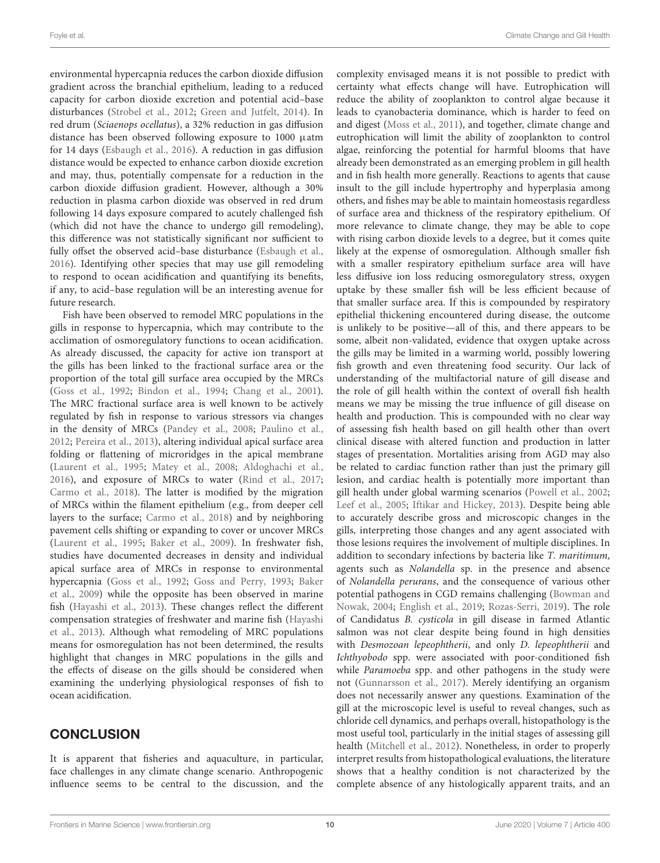environmental hypercapnia reduces the carbon dioxide diffusion gradient across the branchial epithelium, leading to a reduced capacity for carbon dioxide excretion and potential acid–base disturbances [\(Strobel et al.,](#page-14-35) [2012;](#page-14-35) [Green and Jutfelt,](#page-12-34) [2014\)](#page-12-34). In red drum (Sciaenops ocellatus), a 32% reduction in gas diffusion distance has been observed following exposure to 1000 µatm for 14 days [\(Esbaugh et al.,](#page-12-28) [2016\)](#page-12-28). A reduction in gas diffusion distance would be expected to enhance carbon dioxide excretion and may, thus, potentially compensate for a reduction in the carbon dioxide diffusion gradient. However, although a 30% reduction in plasma carbon dioxide was observed in red drum following 14 days exposure compared to acutely challenged fish (which did not have the chance to undergo gill remodeling), this difference was not statistically significant nor sufficient to fully offset the observed acid–base disturbance [\(Esbaugh et al.,](#page-12-28) [2016\)](#page-12-28). Identifying other species that may use gill remodeling to respond to ocean acidification and quantifying its benefits, if any, to acid–base regulation will be an interesting avenue for future research.

Fish have been observed to remodel MRC populations in the gills in response to hypercapnia, which may contribute to the acclimation of osmoregulatory functions to ocean acidification. As already discussed, the capacity for active ion transport at the gills has been linked to the fractional surface area or the proportion of the total gill surface area occupied by the MRCs [\(Goss et al.,](#page-12-35) [1992;](#page-12-35) [Bindon et al.,](#page-11-22) [1994;](#page-11-22) [Chang et al.,](#page-12-36) [2001\)](#page-12-36). The MRC fractional surface area is well known to be actively regulated by fish in response to various stressors via changes in the density of MRCs [\(Pandey et al.,](#page-14-36) [2008;](#page-14-36) [Paulino et al.,](#page-14-37) [2012;](#page-14-37) [Pereira et al.,](#page-14-38) [2013\)](#page-14-38), altering individual apical surface area folding or flattening of microridges in the apical membrane [\(Laurent et al.,](#page-13-34) [1995;](#page-13-34) [Matey et al.,](#page-13-35) [2008;](#page-13-35) [Aldoghachi et al.,](#page-11-27) [2016\)](#page-11-27), and exposure of MRCs to water [\(Rind et al.,](#page-14-39) [2017;](#page-14-39) [Carmo et al.,](#page-11-28) [2018\)](#page-11-28). The latter is modified by the migration of MRCs within the filament epithelium (e.g., from deeper cell layers to the surface; [Carmo et al.,](#page-11-28) [2018\)](#page-11-28) and by neighboring pavement cells shifting or expanding to cover or uncover MRCs [\(Laurent et al.,](#page-13-34) [1995;](#page-13-34) [Baker et al.,](#page-11-29) [2009\)](#page-11-29). In freshwater fish, studies have documented decreases in density and individual apical surface area of MRCs in response to environmental hypercapnia [\(Goss et al.,](#page-12-35) [1992;](#page-12-35) [Goss and Perry,](#page-12-37) [1993;](#page-12-37) [Baker](#page-11-29) [et al.,](#page-11-29) [2009\)](#page-11-29) while the opposite has been observed in marine fish [\(Hayashi et al.,](#page-12-38) [2013\)](#page-12-38). These changes reflect the different compensation strategies of freshwater and marine fish [\(Hayashi](#page-12-38) [et al.,](#page-12-38) [2013\)](#page-12-38). Although what remodeling of MRC populations means for osmoregulation has not been determined, the results highlight that changes in MRC populations in the gills and the effects of disease on the gills should be considered when examining the underlying physiological responses of fish to ocean acidification.

## **CONCLUSION**

It is apparent that fisheries and aquaculture, in particular, face challenges in any climate change scenario. Anthropogenic influence seems to be central to the discussion, and the complexity envisaged means it is not possible to predict with certainty what effects change will have. Eutrophication will reduce the ability of zooplankton to control algae because it leads to cyanobacteria dominance, which is harder to feed on and digest [\(Moss et al.,](#page-13-36) [2011\)](#page-13-36), and together, climate change and eutrophication will limit the ability of zooplankton to control algae, reinforcing the potential for harmful blooms that have already been demonstrated as an emerging problem in gill health and in fish health more generally. Reactions to agents that cause insult to the gill include hypertrophy and hyperplasia among others, and fishes may be able to maintain homeostasis regardless of surface area and thickness of the respiratory epithelium. Of more relevance to climate change, they may be able to cope with rising carbon dioxide levels to a degree, but it comes quite likely at the expense of osmoregulation. Although smaller fish with a smaller respiratory epithelium surface area will have less diffusive ion loss reducing osmoregulatory stress, oxygen uptake by these smaller fish will be less efficient because of that smaller surface area. If this is compounded by respiratory epithelial thickening encountered during disease, the outcome is unlikely to be positive—all of this, and there appears to be some, albeit non-validated, evidence that oxygen uptake across the gills may be limited in a warming world, possibly lowering fish growth and even threatening food security. Our lack of understanding of the multifactorial nature of gill disease and the role of gill health within the context of overall fish health means we may be missing the true influence of gill disease on health and production. This is compounded with no clear way of assessing fish health based on gill health other than overt clinical disease with altered function and production in latter stages of presentation. Mortalities arising from AGD may also be related to cardiac function rather than just the primary gill lesion, and cardiac health is potentially more important than gill health under global warming scenarios [\(Powell et al.,](#page-14-40) [2002;](#page-14-40) [Leef et al.,](#page-13-37) [2005;](#page-13-37) [Iftikar and Hickey,](#page-13-23) [2013\)](#page-13-23). Despite being able to accurately describe gross and microscopic changes in the gills, interpreting those changes and any agent associated with those lesions requires the involvement of multiple disciplines. In addition to secondary infections by bacteria like T. maritimum, agents such as Nolandella sp. in the presence and absence of Nolandella perurans, and the consequence of various other potential pathogens in CGD remains challenging [\(Bowman and](#page-11-30) [Nowak,](#page-11-30) [2004;](#page-11-30) [English et al.,](#page-12-39) [2019;](#page-12-39) [Rozas-Serri,](#page-14-41) [2019\)](#page-14-41). The role of Candidatus B. cysticola in gill disease in farmed Atlantic salmon was not clear despite being found in high densities with Desmozoan lepeophtherii, and only D. lepeophtherii and Ichthyobodo spp. were associated with poor-conditioned fish while Paramoeba spp. and other pathogens in the study were not [\(Gunnarsson et al.,](#page-12-40) [2017\)](#page-12-40). Merely identifying an organism does not necessarily answer any questions. Examination of the gill at the microscopic level is useful to reveal changes, such as chloride cell dynamics, and perhaps overall, histopathology is the most useful tool, particularly in the initial stages of assessing gill health [\(Mitchell et al.,](#page-13-8) [2012\)](#page-13-8). Nonetheless, in order to properly interpret results from histopathological evaluations, the literature shows that a healthy condition is not characterized by the complete absence of any histologically apparent traits, and an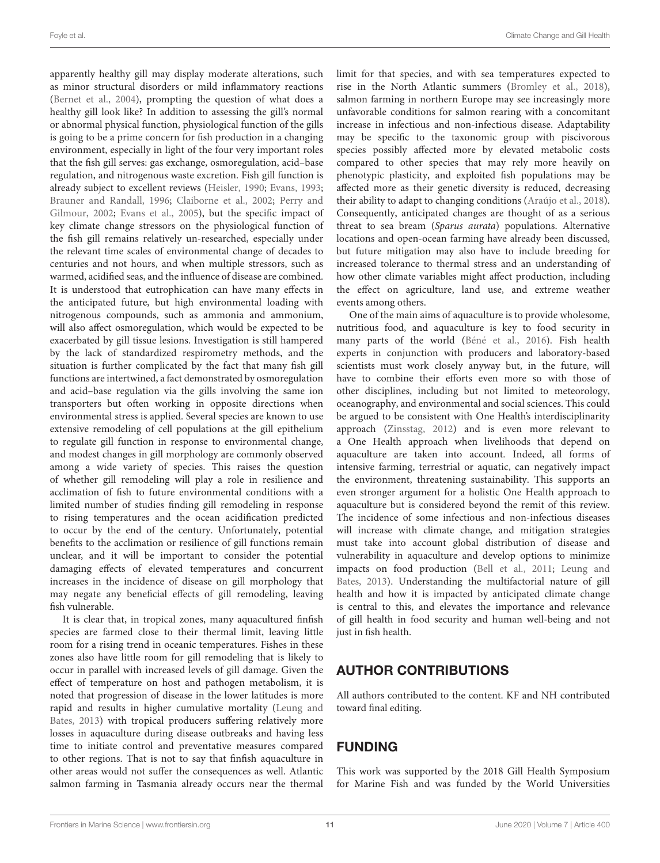apparently healthy gill may display moderate alterations, such as minor structural disorders or mild inflammatory reactions [\(Bernet et al.,](#page-11-13) [2004\)](#page-11-13), prompting the question of what does a healthy gill look like? In addition to assessing the gill's normal or abnormal physical function, physiological function of the gills is going to be a prime concern for fish production in a changing environment, especially in light of the four very important roles that the fish gill serves: gas exchange, osmoregulation, acid–base regulation, and nitrogenous waste excretion. Fish gill function is already subject to excellent reviews [\(Heisler,](#page-12-19) [1990;](#page-12-19) [Evans,](#page-12-15) [1993;](#page-12-15) [Brauner and Randall,](#page-11-19) [1996;](#page-11-19) [Claiborne et al.,](#page-12-20) [2002;](#page-12-20) [Perry and](#page-14-20) [Gilmour,](#page-14-20) [2002;](#page-14-20) [Evans et al.,](#page-12-16) [2005\)](#page-12-16), but the specific impact of key climate change stressors on the physiological function of the fish gill remains relatively un-researched, especially under the relevant time scales of environmental change of decades to centuries and not hours, and when multiple stressors, such as warmed, acidified seas, and the influence of disease are combined. It is understood that eutrophication can have many effects in the anticipated future, but high environmental loading with nitrogenous compounds, such as ammonia and ammonium, will also affect osmoregulation, which would be expected to be exacerbated by gill tissue lesions. Investigation is still hampered by the lack of standardized respirometry methods, and the situation is further complicated by the fact that many fish gill functions are intertwined, a fact demonstrated by osmoregulation and acid–base regulation via the gills involving the same ion transporters but often working in opposite directions when environmental stress is applied. Several species are known to use extensive remodeling of cell populations at the gill epithelium to regulate gill function in response to environmental change, and modest changes in gill morphology are commonly observed among a wide variety of species. This raises the question of whether gill remodeling will play a role in resilience and acclimation of fish to future environmental conditions with a limited number of studies finding gill remodeling in response to rising temperatures and the ocean acidification predicted to occur by the end of the century. Unfortunately, potential benefits to the acclimation or resilience of gill functions remain unclear, and it will be important to consider the potential damaging effects of elevated temperatures and concurrent increases in the incidence of disease on gill morphology that may negate any beneficial effects of gill remodeling, leaving fish vulnerable.

It is clear that, in tropical zones, many aquacultured finfish species are farmed close to their thermal limit, leaving little room for a rising trend in oceanic temperatures. Fishes in these zones also have little room for gill remodeling that is likely to occur in parallel with increased levels of gill damage. Given the effect of temperature on host and pathogen metabolism, it is noted that progression of disease in the lower latitudes is more rapid and results in higher cumulative mortality [\(Leung and](#page-13-38) [Bates,](#page-13-38) [2013\)](#page-13-38) with tropical producers suffering relatively more losses in aquaculture during disease outbreaks and having less time to initiate control and preventative measures compared to other regions. That is not to say that finfish aquaculture in other areas would not suffer the consequences as well. Atlantic salmon farming in Tasmania already occurs near the thermal

limit for that species, and with sea temperatures expected to rise in the North Atlantic summers [\(Bromley et al.,](#page-11-31) [2018\)](#page-11-31), salmon farming in northern Europe may see increasingly more unfavorable conditions for salmon rearing with a concomitant increase in infectious and non-infectious disease. Adaptability may be specific to the taxonomic group with piscivorous species possibly affected more by elevated metabolic costs compared to other species that may rely more heavily on phenotypic plasticity, and exploited fish populations may be affected more as their genetic diversity is reduced, decreasing their ability to adapt to changing conditions [\(Araújo et al.,](#page-11-32) [2018\)](#page-11-32). Consequently, anticipated changes are thought of as a serious threat to sea bream (Sparus aurata) populations. Alternative locations and open-ocean farming have already been discussed, but future mitigation may also have to include breeding for increased tolerance to thermal stress and an understanding of how other climate variables might affect production, including the effect on agriculture, land use, and extreme weather events among others.

One of the main aims of aquaculture is to provide wholesome, nutritious food, and aquaculture is key to food security in many parts of the world [\(Béné et al.,](#page-11-33) [2016\)](#page-11-33). Fish health experts in conjunction with producers and laboratory-based scientists must work closely anyway but, in the future, will have to combine their efforts even more so with those of other disciplines, including but not limited to meteorology, oceanography, and environmental and social sciences. This could be argued to be consistent with One Health's interdisciplinarity approach [\(Zinsstag,](#page-15-14) [2012\)](#page-15-14) and is even more relevant to a One Health approach when livelihoods that depend on aquaculture are taken into account. Indeed, all forms of intensive farming, terrestrial or aquatic, can negatively impact the environment, threatening sustainability. This supports an even stronger argument for a holistic One Health approach to aquaculture but is considered beyond the remit of this review. The incidence of some infectious and non-infectious diseases will increase with climate change, and mitigation strategies must take into account global distribution of disease and vulnerability in aquaculture and develop options to minimize impacts on food production [\(Bell et al.,](#page-11-34) [2011;](#page-11-34) [Leung and](#page-13-38) [Bates,](#page-13-38) [2013\)](#page-13-38). Understanding the multifactorial nature of gill health and how it is impacted by anticipated climate change is central to this, and elevates the importance and relevance of gill health in food security and human well-being and not just in fish health.

## AUTHOR CONTRIBUTIONS

All authors contributed to the content. KF and NH contributed toward final editing.

## FUNDING

This work was supported by the 2018 Gill Health Symposium for Marine Fish and was funded by the World Universities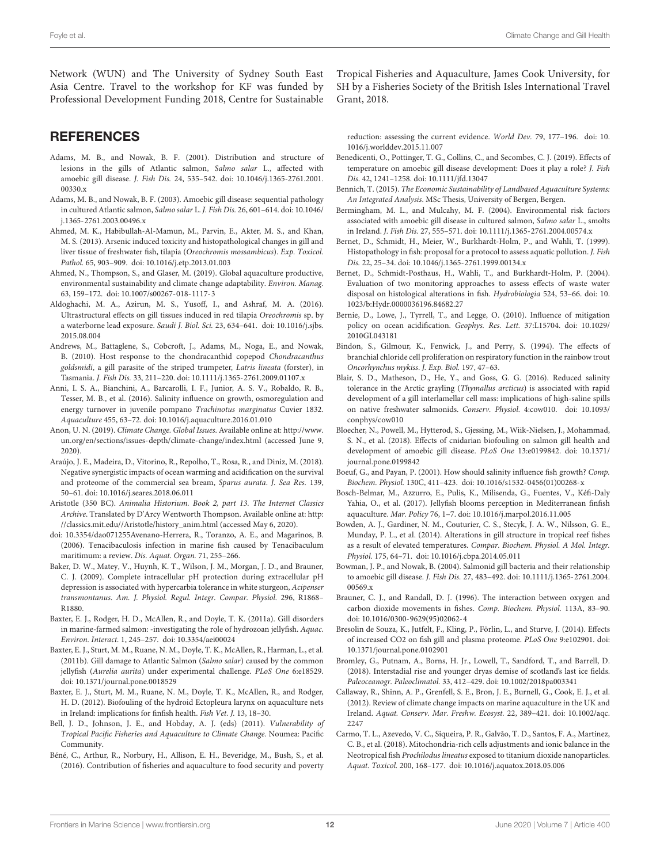Network (WUN) and The University of Sydney South East Asia Centre. Travel to the workshop for KF was funded by Professional Development Funding 2018, Centre for Sustainable

## **REFERENCES**

- <span id="page-11-12"></span>Adams, M. B., and Nowak, B. F. (2001). Distribution and structure of lesions in the gills of Atlantic salmon, Salmo salar L., affected with amoebic gill disease. J. Fish Dis. 24, 535–542. [doi: 10.1046/j.1365-2761.2001.](https://doi.org/10.1046/j.1365-2761.2001.00330.x) [00330.x](https://doi.org/10.1046/j.1365-2761.2001.00330.x)
- <span id="page-11-0"></span>Adams, M. B., and Nowak, B. F. (2003). Amoebic gill disease: sequential pathology in cultured Atlantic salmon, Salmo salar L. J. Fish Dis. 26, 601–614. [doi: 10.1046/](https://doi.org/10.1046/j.1365-2761.2003.00496.x) [j.1365-2761.2003.00496.x](https://doi.org/10.1046/j.1365-2761.2003.00496.x)
- <span id="page-11-25"></span>Ahmed, M. K., Habibullah-Al-Mamun, M., Parvin, E., Akter, M. S., and Khan, M. S. (2013). Arsenic induced toxicity and histopathological changes in gill and liver tissue of freshwater fish, tilapia (Oreochromis mossambicus). Exp. Toxicol. Pathol. 65, 903–909. [doi: 10.1016/j.etp.2013.01.003](https://doi.org/10.1016/j.etp.2013.01.003)
- <span id="page-11-15"></span>Ahmed, N., Thompson, S., and Glaser, M. (2019). Global aquaculture productive, environmental sustainability and climate change adaptability. Environ. Manag. 63, 159–172. [doi: 10.1007/s00267-018-1117-3](https://doi.org/10.1007/s00267-018-1117-3)
- <span id="page-11-27"></span>Aldoghachi, M. A., Azirun, M. S., Yusoff, I., and Ashraf, M. A. (2016). Ultrastructural effects on gill tissues induced in red tilapia Oreochromis sp. by a waterborne lead exposure. Saudi J. Biol. Sci. 23, 634–641. [doi: 10.1016/j.sjbs.](https://doi.org/10.1016/j.sjbs.2015.08.004) [2015.08.004](https://doi.org/10.1016/j.sjbs.2015.08.004)
- <span id="page-11-10"></span>Andrews, M., Battaglene, S., Cobcroft, J., Adams, M., Noga, E., and Nowak, B. (2010). Host response to the chondracanthid copepod Chondracanthus goldsmidi, a gill parasite of the striped trumpeter, Latris lineata (forster), in Tasmania. J. Fish Dis. 33, 211–220. [doi: 10.1111/j.1365-2761.2009.01107.x](https://doi.org/10.1111/j.1365-2761.2009.01107.x)
- <span id="page-11-24"></span>Anni, I. S. A., Bianchini, A., Barcarolli, I. F., Junior, A. S. V., Robaldo, R. B., Tesser, M. B., et al. (2016). Salinity influence on growth, osmoregulation and energy turnover in juvenile pompano Trachinotus marginatus Cuvier 1832. Aquaculture 455, 63–72. [doi: 10.1016/j.aquaculture.2016.01.010](https://doi.org/10.1016/j.aquaculture.2016.01.010)
- <span id="page-11-7"></span>Anon, U. N. (2019). Climate Change. Global Issues. Available online at: [http://www.](http://www.un.org/en/sections/issues-depth/climate-change/index.html) [un.org/en/sections/issues-depth/climate-change/index.html](http://www.un.org/en/sections/issues-depth/climate-change/index.html) (accessed June 9, 2020).
- <span id="page-11-32"></span>Araújo, J. E., Madeira, D., Vitorino, R., Repolho, T., Rosa, R., and Diniz, M. (2018). Negative synergistic impacts of ocean warming and acidification on the survival and proteome of the commercial sea bream, Sparus aurata. J. Sea Res. 139, 50–61. [doi: 10.1016/j.seares.2018.06.011](https://doi.org/10.1016/j.seares.2018.06.011)
- <span id="page-11-8"></span>Aristotle (350 BC). Animalia Historium. Book 2, part 13. The Internet Classics Archive. Translated by D'Arcy Wentworth Thompson. Available online at: [http:](http://classics.mit.edu//Aristotle/history_anim.html) [//classics.mit.edu//Aristotle/history\\_anim.html](http://classics.mit.edu//Aristotle/history_anim.html) (accessed May 6, 2020).
- <span id="page-11-14"></span>[doi: 10.3354/dao071255A](https://doi.org/10.3354/dao071255)venano-Herrera, R., Toranzo, A. E., and Magarinos, B. (2006). Tenacibaculosis infection in marine fish caused by Tenacibaculum maritimum: a review. Dis. Aquat. Organ. 71, 255–266.
- <span id="page-11-29"></span>Baker, D. W., Matey, V., Huynh, K. T., Wilson, J. M., Morgan, J. D., and Brauner, C. J. (2009). Complete intracellular pH protection during extracellular pH depression is associated with hypercarbia tolerance in white sturgeon, Acipenser transmontanus. Am. J. Physiol. Regul. Integr. Compar. Physiol. 296, R1868– R1880.
- <span id="page-11-3"></span>Baxter, E. J., Rodger, H. D., McAllen, R., and Doyle, T. K. (2011a). Gill disorders in marine-farmed salmon: -investigating the role of hydrozoan jellyfish. Aquac. Environ. Interact. 1, 245–257. [doi: 10.3354/aei00024](https://doi.org/10.3354/aei00024)
- <span id="page-11-4"></span>Baxter, E. J., Sturt, M. M., Ruane, N. M., Doyle, T. K., McAllen, R., Harman, L., et al. (2011b). Gill damage to Atlantic Salmon (Salmo salar) caused by the common jellyfish (Aurelia aurita) under experimental challenge. PLoS One 6:e18529. [doi: 10.1371/journal.pone.0018529](https://doi.org/10.1371/journal.pone.0018529)
- <span id="page-11-5"></span>Baxter, E. J., Sturt, M. M., Ruane, N. M., Doyle, T. K., McAllen, R., and Rodger, H. D. (2012). Biofouling of the hydroid Ectopleura larynx on aquaculture nets in Ireland: implications for finfish health. Fish Vet. J. 13, 18–30.
- <span id="page-11-34"></span>Bell, J. D., Johnson, J. E., and Hobday, A. J. (eds) (2011). Vulnerability of Tropical Pacific Fisheries and Aquaculture to Climate Change. Noumea: Pacific Community.
- <span id="page-11-33"></span>Béné, C., Arthur, R., Norbury, H., Allison, E. H., Beveridge, M., Bush, S., et al. (2016). Contribution of fisheries and aquaculture to food security and poverty

Tropical Fisheries and Aquaculture, James Cook University, for SH by a Fisheries Society of the British Isles International Travel Grant, 2018.

reduction: assessing the current evidence. World Dev. 79, 177–196. [doi: 10.](https://doi.org/10.1016/j.worlddev.2015.11.007) [1016/j.worlddev.2015.11.007](https://doi.org/10.1016/j.worlddev.2015.11.007)

- <span id="page-11-17"></span>Benedicenti, O., Pottinger, T. G., Collins, C., and Secombes, C. J. (2019). Effects of temperature on amoebic gill disease development: Does it play a role? J. Fish Dis. 42, 1241–1258. [doi: 10.1111/jfd.13047](https://doi.org/10.1111/jfd.13047)
- <span id="page-11-16"></span>Bennich, T. (2015). The Economic Sustainability of Landbased Aquaculture Systems: An Integrated Analysis. MSc Thesis, University of Bergen, Bergen.
- <span id="page-11-9"></span>Bermingham, M. L., and Mulcahy, M. F. (2004). Environmental risk factors associated with amoebic gill disease in cultured salmon, Salmo salar L., smolts in Ireland. J. Fish Dis. 27, 555–571. [doi: 10.1111/j.1365-2761.2004.00574.x](https://doi.org/10.1111/j.1365-2761.2004.00574.x)
- <span id="page-11-11"></span>Bernet, D., Schmidt, H., Meier, W., Burkhardt-Holm, P., and Wahli, T. (1999). Histopathology in fish: proposal for a protocol to assess aquatic pollution. J. Fish Dis. 22, 25–34. [doi: 10.1046/j.1365-2761.1999.00134.x](https://doi.org/10.1046/j.1365-2761.1999.00134.x)
- <span id="page-11-13"></span>Bernet, D., Schmidt-Posthaus, H., Wahli, T., and Burkhardt-Holm, P. (2004). Evaluation of two monitoring approaches to assess effects of waste water disposal on histological alterations in fish. Hydrobiologia 524, 53–66. [doi: 10.](https://doi.org/10.1023/b:Hydr.0000036196.84682.27) [1023/b:Hydr.0000036196.84682.27](https://doi.org/10.1023/b:Hydr.0000036196.84682.27)
- <span id="page-11-20"></span>Bernie, D., Lowe, J., Tyrrell, T., and Legge, O. (2010). Influence of mitigation policy on ocean acidification. Geophys. Res. Lett. 37:L15704. [doi: 10.1029/](https://doi.org/10.1029/2010GL043181) [2010GL043181](https://doi.org/10.1029/2010GL043181)
- <span id="page-11-22"></span>Bindon, S., Gilmour, K., Fenwick, J., and Perry, S. (1994). The effects of branchial chloride cell proliferation on respiratory function in the rainbow trout Oncorhynchus mykiss. J. Exp. Biol. 197, 47–63.
- <span id="page-11-23"></span>Blair, S. D., Matheson, D., He, Y., and Goss, G. G. (2016). Reduced salinity tolerance in the Arctic grayling (Thymallus arcticus) is associated with rapid development of a gill interlamellar cell mass: implications of high-saline spills on native freshwater salmonids. Conserv. Physiol. 4:cow010. [doi: 10.1093/](https://doi.org/10.1093/conphys/cow010) [conphys/cow010](https://doi.org/10.1093/conphys/cow010)
- <span id="page-11-1"></span>Bloecher, N., Powell, M., Hytterod, S., Gjessing, M., Wiik-Nielsen, J., Mohammad, S. N., et al. (2018). Effects of cnidarian biofouling on salmon gill health and development of amoebic gill disease. PLoS One 13:e0199842. [doi: 10.1371/](https://doi.org/10.1371/journal.pone.0199842) [journal.pone.0199842](https://doi.org/10.1371/journal.pone.0199842)
- <span id="page-11-21"></span>Boeuf, G., and Payan, P. (2001). How should salinity influence fish growth? Comp. Biochem. Physiol. 130C, 411–423. [doi: 10.1016/s1532-0456\(01\)00268-x](https://doi.org/10.1016/s1532-0456(01)00268-x)
- <span id="page-11-6"></span>Bosch-Belmar, M., Azzurro, E., Pulis, K., Milisenda, G., Fuentes, V., Kéfi-Daly Yahia, O., et al. (2017). Jellyfish blooms perception in Mediterranean finfish aquaculture. Mar. Policy 76, 1–7. [doi: 10.1016/j.marpol.2016.11.005](https://doi.org/10.1016/j.marpol.2016.11.005)
- <span id="page-11-26"></span>Bowden, A. J., Gardiner, N. M., Couturier, C. S., Stecyk, J. A. W., Nilsson, G. E., Munday, P. L., et al. (2014). Alterations in gill structure in tropical reef fishes as a result of elevated temperatures. Compar. Biochem. Physiol. A Mol. Integr. Physiol. 175, 64–71. [doi: 10.1016/j.cbpa.2014.05.011](https://doi.org/10.1016/j.cbpa.2014.05.011)
- <span id="page-11-30"></span>Bowman, J. P., and Nowak, B. (2004). Salmonid gill bacteria and their relationship to amoebic gill disease. J. Fish Dis. 27, 483–492. [doi: 10.1111/j.1365-2761.2004.](https://doi.org/10.1111/j.1365-2761.2004.00569.x) [00569.x](https://doi.org/10.1111/j.1365-2761.2004.00569.x)
- <span id="page-11-19"></span>Brauner, C. J., and Randall, D. J. (1996). The interaction between oxygen and carbon dioxide movements in fishes. Comp. Biochem. Physiol. 113A, 83–90. [doi: 10.1016/0300-9629\(95\)02062-4](https://doi.org/10.1016/0300-9629(95)02062-4)
- <span id="page-11-18"></span>Bresolin de Souza, K., Jutfelt, F., Kling, P., Förlin, L., and Sturve, J. (2014). Effects of increased CO2 on fish gill and plasma proteome. PLoS One 9:e102901. [doi:](https://doi.org/10.1371/journal.pone.0102901) [10.1371/journal.pone.0102901](https://doi.org/10.1371/journal.pone.0102901)
- <span id="page-11-31"></span>Bromley, G., Putnam, A., Borns, H. Jr., Lowell, T., Sandford, T., and Barrell, D. (2018). Interstadial rise and younger dryas demise of scotland's last ice fields. Paleoceanogr. Paleoclimatol. 33, 412–429. [doi: 10.1002/2018pa003341](https://doi.org/10.1002/2018pa003341)
- <span id="page-11-2"></span>Callaway, R., Shinn, A. P., Grenfell, S. E., Bron, J. E., Burnell, G., Cook, E. J., et al. (2012). Review of climate change impacts on marine aquaculture in the UK and Ireland. Aquat. Conserv. Mar. Freshw. Ecosyst. 22, 389–421. [doi: 10.1002/aqc.](https://doi.org/10.1002/aqc.2247) [2247](https://doi.org/10.1002/aqc.2247)
- <span id="page-11-28"></span>Carmo, T. L., Azevedo, V. C., Siqueira, P. R., Galvão, T. D., Santos, F. A., Martinez, C. B., et al. (2018). Mitochondria-rich cells adjustments and ionic balance in the Neotropical fish Prochilodus lineatus exposed to titanium dioxide nanoparticles. Aquat. Toxicol. 200, 168–177. [doi: 10.1016/j.aquatox.2018.05.006](https://doi.org/10.1016/j.aquatox.2018.05.006)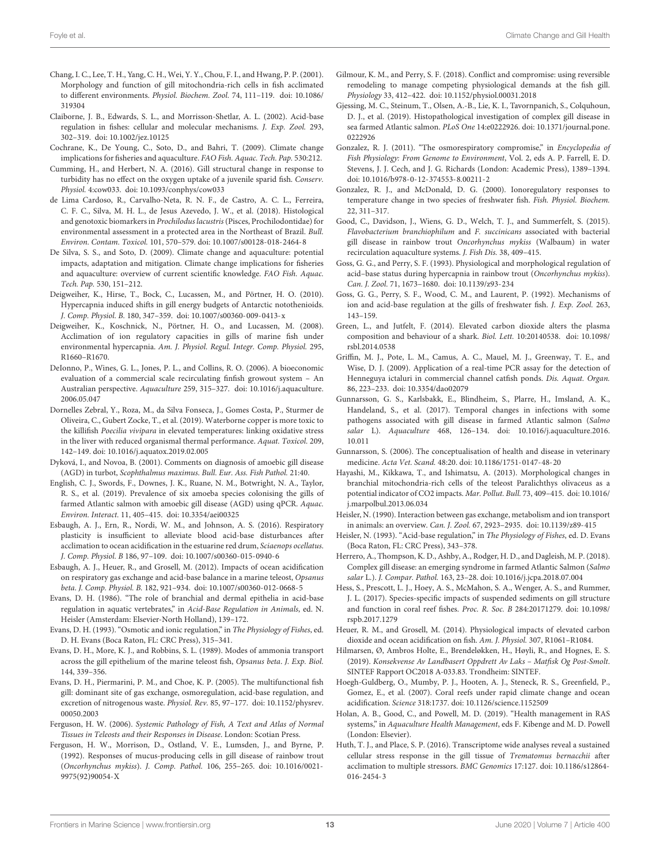- <span id="page-12-36"></span>Chang, I. C., Lee, T. H., Yang, C. H., Wei, Y. Y., Chou, F. I., and Hwang, P. P. (2001). Morphology and function of gill mitochondria-rich cells in fish acclimated to different environments. Physiol. Biochem. Zool. 74, 111–119. [doi: 10.1086/](https://doi.org/10.1086/319304) [319304](https://doi.org/10.1086/319304)
- <span id="page-12-20"></span>Claiborne, J. B., Edwards, S. L., and Morrisson-Shetlar, A. L. (2002). Acid-base regulation in fishes: cellular and molecular mechanisms. J. Exp. Zool. 293, 302–319. [doi: 10.1002/jez.10125](https://doi.org/10.1002/jez.10125)
- <span id="page-12-11"></span>Cochrane, K., De Young, C., Soto, D., and Bahri, T. (2009). Climate change implications for fisheries and aquaculture. FAO Fish. Aquac. Tech. Pap. 530:212.
- <span id="page-12-32"></span>Cumming, H., and Herbert, N. A. (2016). Gill structural change in response to turbidity has no effect on the oxygen uptake of a juvenile sparid fish. Conserv. Physiol. 4:cow033. [doi: 10.1093/conphys/cow033](https://doi.org/10.1093/conphys/cow033)
- <span id="page-12-7"></span>de Lima Cardoso, R., Carvalho-Neta, R. N. F., de Castro, A. C. L., Ferreira, C. F. C., Silva, M. H. L., de Jesus Azevedo, J. W., et al. (2018). Histological and genotoxic biomarkers in Prochilodus lacustris (Pisces, Prochilodontidae) for environmental assessment in a protected area in the Northeast of Brazil. Bull. Environ. Contam. Toxicol. 101, 570–579. [doi: 10.1007/s00128-018-2464-8](https://doi.org/10.1007/s00128-018-2464-8)
- <span id="page-12-12"></span>De Silva, S. S., and Soto, D. (2009). Climate change and aquaculture: potential impacts, adaptation and mitigation. Climate change implications for fisheries and aquaculture: overview of current scientific knowledge. FAO Fish. Aquac. Tech. Pap. 530, 151–212.
- <span id="page-12-27"></span>Deigweiher, K., Hirse, T., Bock, C., Lucassen, M., and Pörtner, H. O. (2010). Hypercapnia induced shifts in gill energy budgets of Antarctic notothenioids. J. Comp. Physiol. B. 180, 347–359. [doi: 10.1007/s00360-009-0413-x](https://doi.org/10.1007/s00360-009-0413-x)
- <span id="page-12-26"></span>Deigweiher, K., Koschnick, N., Pörtner, H. O., and Lucassen, M. (2008). Acclimation of ion regulatory capacities in gills of marine fish under environmental hypercapnia. Am. J. Physiol. Regul. Integr. Comp. Physiol. 295, R1660–R1670.
- <span id="page-12-13"></span>DeIonno, P., Wines, G. L., Jones, P. L., and Collins, R. O. (2006). A bioeconomic evaluation of a commercial scale recirculating finfish growout system – An Australian perspective. Aquaculture 259, 315–327. [doi: 10.1016/j.aquaculture.](https://doi.org/10.1016/j.aquaculture.2006.05.047) [2006.05.047](https://doi.org/10.1016/j.aquaculture.2006.05.047)
- <span id="page-12-23"></span>Dornelles Zebral, Y., Roza, M., da Silva Fonseca, J., Gomes Costa, P., Sturmer de Oliveira, C., Gubert Zocke, T., et al. (2019). Waterborne copper is more toxic to the killifish Poecilia vivipara in elevated temperatures: linking oxidative stress in the liver with reduced organismal thermal performance. Aquat. Toxicol. 209, 142–149. [doi: 10.1016/j.aquatox.2019.02.005](https://doi.org/10.1016/j.aquatox.2019.02.005)
- <span id="page-12-6"></span>Dyková, I., and Novoa, B. (2001). Comments on diagnosis of amoebic gill disease (AGD) in turbot, Scophthalmus maximus. Bull. Eur. Ass. Fish Pathol. 21:40.
- <span id="page-12-39"></span>English, C. J., Swords, F., Downes, J. K., Ruane, N. M., Botwright, N. A., Taylor, R. S., et al. (2019). Prevalence of six amoeba species colonising the gills of farmed Atlantic salmon with amoebic gill disease (AGD) using qPCR. Aquac. Environ. Interact. 11, 405–415. [doi: 10.3354/aei00325](https://doi.org/10.3354/aei00325)
- <span id="page-12-28"></span>Esbaugh, A. J., Ern, R., Nordi, W. M., and Johnson, A. S. (2016). Respiratory plasticity is insufficient to alleviate blood acid-base disturbances after acclimation to ocean acidification in the estuarine red drum, Sciaenops ocellatus. J. Comp. Physiol. B 186, 97–109. [doi: 10.1007/s00360-015-0940-6](https://doi.org/10.1007/s00360-015-0940-6)
- <span id="page-12-24"></span>Esbaugh, A. J., Heuer, R., and Grosell, M. (2012). Impacts of ocean acidification on respiratory gas exchange and acid-base balance in a marine teleost, Opsanus beta. J. Comp. Physiol. B. 182, 921–934. [doi: 10.1007/s00360-012-0668-5](https://doi.org/10.1007/s00360-012-0668-5)
- <span id="page-12-22"></span>Evans, D. H. (1986). "The role of branchial and dermal epithelia in acid-base regulation in aquatic vertebrates," in Acid-Base Regulation in Animals, ed. N. Heisler (Amsterdam: Elsevier-North Holland), 139–172.
- <span id="page-12-15"></span>Evans, D. H. (1993). "Osmotic and ionic regulation," in The Physiology of Fishes, ed. D. H. Evans (Boca Raton, FL: CRC Press), 315–341.
- <span id="page-12-29"></span>Evans, D. H., More, K. J., and Robbins, S. L. (1989). Modes of ammonia transport across the gill epithelium of the marine teleost fish, Opsanus beta. J. Exp. Biol. 144, 339–356.
- <span id="page-12-16"></span>Evans, D. H., Piermarini, P. M., and Choe, K. P. (2005). The multifunctional fish gill: dominant site of gas exchange, osmoregulation, acid-base regulation, and excretion of nitrogenous waste. Physiol. Rev. 85, 97–177. [doi: 10.1152/physrev.](https://doi.org/10.1152/physrev.00050.2003) [00050.2003](https://doi.org/10.1152/physrev.00050.2003)
- <span id="page-12-4"></span>Ferguson, H. W. (2006). Systemic Pathology of Fish, A Text and Atlas of Normal Tissues in Teleosts and their Responses in Disease. London: Scotian Press.
- <span id="page-12-5"></span>Ferguson, H. W., Morrison, D., Ostland, V. E., Lumsden, J., and Byrne, P. (1992). Responses of mucus-producing cells in gill disease of rainbow trout (Oncorhynchus mykiss). J. Comp. Pathol. 106, 255–265. [doi: 10.1016/0021-](https://doi.org/10.1016/0021-9975(92)90054-X) [9975\(92\)90054-X](https://doi.org/10.1016/0021-9975(92)90054-X)
- <span id="page-12-31"></span>Gilmour, K. M., and Perry, S. F. (2018). Conflict and compromise: using reversible remodeling to manage competing physiological demands at the fish gill. Physiology 33, 412–422. [doi: 10.1152/physiol.00031.2018](https://doi.org/10.1152/physiol.00031.2018)
- <span id="page-12-8"></span>Gjessing, M. C., Steinum, T., Olsen, A.-B., Lie, K. I., Tavornpanich, S., Colquhoun, D. J., et al. (2019). Histopathological investigation of complex gill disease in sea farmed Atlantic salmon. PLoS One 14:e0222926. [doi: 10.1371/journal.pone.](https://doi.org/10.1371/journal.pone.0222926) [0222926](https://doi.org/10.1371/journal.pone.0222926)
- <span id="page-12-30"></span>Gonzalez, R. J. (2011). "The osmorespiratory compromise," in Encyclopedia of Fish Physiology: From Genome to Environment, Vol. 2, eds A. P. Farrell, E. D. Stevens, J. J. Cech, and J. G. Richards (London: Academic Press), 1389–1394. [doi: 10.1016/b978-0-12-374553-8.00211-2](https://doi.org/10.1016/b978-0-12-374553-8.00211-2)
- <span id="page-12-21"></span>Gonzalez, R. J., and McDonald, D. G. (2000). Ionoregulatory responses to temperature change in two species of freshwater fish. Fish. Physiol. Biochem. 22, 311–317.
- <span id="page-12-10"></span>Good, C., Davidson, J., Wiens, G. D., Welch, T. J., and Summerfelt, S. (2015). Flavobacterium branchiophilum and F. succinicans associated with bacterial gill disease in rainbow trout Oncorhynchus mykiss (Walbaum) in water recirculation aquaculture systems. J. Fish Dis. 38, 409–415.
- <span id="page-12-37"></span>Goss, G. G., and Perry, S. F. (1993). Physiological and morphological regulation of acid–base status during hypercapnia in rainbow trout (Oncorhynchus mykiss). Can. J. Zool. 71, 1673–1680. [doi: 10.1139/z93-234](https://doi.org/10.1139/z93-234)
- <span id="page-12-35"></span>Goss, G. G., Perry, S. F., Wood, C. M., and Laurent, P. (1992). Mechanisms of ion and acid-base regulation at the gills of freshwater fish. J. Exp. Zool. 263, 143–159.
- <span id="page-12-34"></span>Green, L., and Jutfelt, F. (2014). Elevated carbon dioxide alters the plasma composition and behaviour of a shark. Biol. Lett. 10:20140538. [doi: 10.1098/](https://doi.org/10.1098/rsbl.2014.0538) [rsbl.2014.0538](https://doi.org/10.1098/rsbl.2014.0538)
- <span id="page-12-0"></span>Griffin, M. J., Pote, L. M., Camus, A. C., Mauel, M. J., Greenway, T. E., and Wise, D. J. (2009). Application of a real-time PCR assay for the detection of Henneguya ictaluri in commercial channel catfish ponds. Dis. Aquat. Organ. 86, 223–233. [doi: 10.3354/dao02079](https://doi.org/10.3354/dao02079)
- <span id="page-12-40"></span>Gunnarsson, G. S., Karlsbakk, E., Blindheim, S., Plarre, H., Imsland, A. K., Handeland, S., et al. (2017). Temporal changes in infections with some pathogens associated with gill disease in farmed Atlantic salmon (Salmo salar L). Aquaculture 468, 126–134. [doi: 10.1016/j.aquaculture.2016.](https://doi.org/10.1016/j.aquaculture.2016.10.011) [10.011](https://doi.org/10.1016/j.aquaculture.2016.10.011)
- <span id="page-12-3"></span>Gunnarsson, S. (2006). The conceptualisation of health and disease in veterinary medicine. Acta Vet. Scand. 48:20. [doi: 10.1186/1751-0147-48-20](https://doi.org/10.1186/1751-0147-48-20)
- <span id="page-12-38"></span>Hayashi, M., Kikkawa, T., and Ishimatsu, A. (2013). Morphological changes in branchial mitochondria-rich cells of the teleost Paralichthys olivaceus as a potential indicator of CO2 impacts. Mar. Pollut. Bull. 73, 409–415. [doi: 10.1016/](https://doi.org/10.1016/j.marpolbul.2013.06.034) [j.marpolbul.2013.06.034](https://doi.org/10.1016/j.marpolbul.2013.06.034)
- <span id="page-12-19"></span>Heisler, N. (1990). Interaction between gas exchange, metabolism and ion transport in animals: an overview. Can. J. Zool. 67, 2923–2935. [doi: 10.1139/z89-415](https://doi.org/10.1139/z89-415)
- <span id="page-12-25"></span>Heisler, N. (1993). "Acid-base regulation," in The Physiology of Fishes, ed. D. Evans (Boca Raton, FL: CRC Press), 343–378.
- <span id="page-12-1"></span>Herrero, A., Thompson, K. D., Ashby, A., Rodger, H. D., and Dagleish, M. P. (2018). Complex gill disease: an emerging syndrome in farmed Atlantic Salmon (Salmo salar L.). J. Compar. Pathol. 163, 23–28. [doi: 10.1016/j.jcpa.2018.07.004](https://doi.org/10.1016/j.jcpa.2018.07.004)
- <span id="page-12-33"></span>Hess, S., Prescott, L. J., Hoey, A. S., McMahon, S. A., Wenger, A. S., and Rummer, J. L. (2017). Species-specific impacts of suspended sediments on gill structure and function in coral reef fishes. Proc. R. Soc. B 284:20171279. [doi: 10.1098/](https://doi.org/10.1098/rspb.2017.1279) [rspb.2017.1279](https://doi.org/10.1098/rspb.2017.1279)
- <span id="page-12-17"></span>Heuer, R. M., and Grosell, M. (2014). Physiological impacts of elevated carbon dioxide and ocean acidification on fish. Am. J. Physiol. 307, R1061–R1084.
- <span id="page-12-14"></span>Hilmarsen, Ø, Ambros Holte, E., Brendeløkken, H., Høyli, R., and Hognes, E. S. (2019). Konsekvense Av Landbasert Oppdrett Av Laks – Matfisk Og Post-Smolt. SINTEF Rapport OC2018 A-033.83. Trondheim: SINTEF.
- <span id="page-12-2"></span>Hoegh-Guldberg, O., Mumby, P. J., Hooten, A. J., Steneck, R. S., Greenfield, P., Gomez, E., et al. (2007). Coral reefs under rapid climate change and ocean acidification. Science 318:1737. [doi: 10.1126/science.1152509](https://doi.org/10.1126/science.1152509)
- <span id="page-12-9"></span>Holan, A. B., Good, C., and Powell, M. D. (2019). "Health management in RAS systems," in Aquaculture Health Management, eds F. Kibenge and M. D. Powell (London: Elsevier).
- <span id="page-12-18"></span>Huth, T. J., and Place, S. P. (2016). Transcriptome wide analyses reveal a sustained cellular stress response in the gill tissue of Trematomus bernacchii after acclimation to multiple stressors. BMC Genomics 17:127. [doi: 10.1186/s12864-](https://doi.org/10.1186/s12864-016-2454-3) [016-2454-3](https://doi.org/10.1186/s12864-016-2454-3)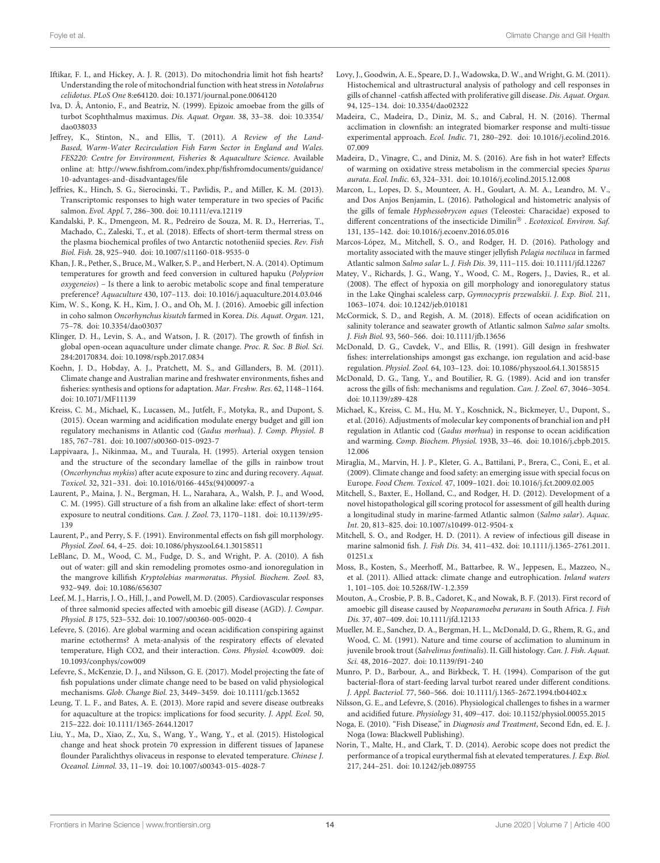- <span id="page-13-23"></span>Iftikar, F. I., and Hickey, A. J. R. (2013). Do mitochondria limit hot fish hearts? Understanding the role of mitochondrial function with heat stress in Notolabrus celidotus. PLoS One 8:e64120. [doi: 10.1371/journal.pone.0064120](https://doi.org/10.1371/journal.pone.0064120)
- <span id="page-13-0"></span>Iva, D. Â, Antonio, F., and Beatriz, N. (1999). Epizoic amoebae from the gills of turbot Scophthalmus maximus. Dis. Aquat. Organ. 38, 33–38. [doi: 10.3354/](https://doi.org/10.3354/dao038033) [dao038033](https://doi.org/10.3354/dao038033)
- <span id="page-13-12"></span>Jeffrey, K., Stinton, N., and Ellis, T. (2011). A Review of the Land-Based, Warm-Water Recirculation Fish Farm Sector in England and Wales. FES220: Centre for Environment, Fisheries & Aquaculture Science. Available online at: [http://www.fishfrom.com/index.php/fishfromdocuments/guidance/](http://www. fishfrom. com/index. php/fishfromdocuments/guidance/10-advantages-and-disadvantages/file) [10-advantages-and-disadvantages/file](http://www. fishfrom. com/index. php/fishfromdocuments/guidance/10-advantages-and-disadvantages/file)
- <span id="page-13-20"></span>Jeffries, K., Hinch, S. G., Sierocinski, T., Pavlidis, P., and Miller, K. M. (2013). Transcriptomic responses to high water temperature in two species of Pacific salmon. Evol. Appl. 7, 286–300. [doi: 10.1111/eva.12119](https://doi.org/10.1111/eva.12119)
- <span id="page-13-26"></span>Kandalski, P. K., Dmengeon, M. R., Pedreiro de Souza, M. R. D., Herrerias, T., Machado, C., Zaleski, T., et al. (2018). Effects of short-term thermal stress on the plasma biochemical profiles of two Antarctic nototheniid species. Rev. Fish Biol. Fish. 28, 925–940. [doi: 10.1007/s11160-018-9535-0](https://doi.org/10.1007/s11160-018-9535-0)
- <span id="page-13-18"></span>Khan, J. R., Pether, S., Bruce, M., Walker, S. P., and Herbert, N. A. (2014). Optimum temperatures for growth and feed conversion in cultured hapuku (Polyprion oxygeneios) – Is there a link to aerobic metabolic scope and final temperature preference? Aquaculture 430, 107–113. [doi: 10.1016/j.aquaculture.2014.03.046](https://doi.org/10.1016/j.aquaculture.2014.03.046)
- <span id="page-13-3"></span>Kim, W. S., Kong, K. H., Kim, J. O., and Oh, M. J. (2016). Amoebic gill infection in coho salmon Oncorhynchus kisutch farmed in Korea. Dis. Aquat. Organ. 121, 75–78. [doi: 10.3354/dao03037](https://doi.org/10.3354/dao03037)
- <span id="page-13-4"></span>Klinger, D. H., Levin, S. A., and Watson, J. R. (2017). The growth of finfish in global open-ocean aquaculture under climate change. Proc. R. Soc. B Biol. Sci. 284:20170834. [doi: 10.1098/rspb.2017.0834](https://doi.org/10.1098/rspb.2017.0834)
- <span id="page-13-10"></span>Koehn, J. D., Hobday, A. J., Pratchett, M. S., and Gillanders, B. M. (2011). Climate change and Australian marine and freshwater environments, fishes and fisheries: synthesis and options for adaptation. Mar. Freshw. Res. 62, 1148–1164. [doi: 10.1071/MF11139](https://doi.org/10.1071/MF11139)
- <span id="page-13-13"></span>Kreiss, C. M., Michael, K., Lucassen, M., Jutfelt, F., Motyka, R., and Dupont, S. (2015). Ocean warming and acidification modulate energy budget and gill ion regulatory mechanisms in Atlantic cod (Gadus morhua). J. Comp. Physiol. B 185, 767–781. [doi: 10.1007/s00360-015-0923-7](https://doi.org/10.1007/s00360-015-0923-7)
- <span id="page-13-29"></span>Lappivaara, J., Nikinmaa, M., and Tuurala, H. (1995). Arterial oxygen tension and the structure of the secondary lamellae of the gills in rainbow trout (Oncorhynchus mykiss) after acute exposure to zinc and during recovery. Aquat. Toxicol. 32, 321–331. [doi: 10.1016/0166-445x\(94\)00097-a](https://doi.org/10.1016/0166-445x(94)00097-a)
- <span id="page-13-34"></span>Laurent, P., Maina, J. N., Bergman, H. L., Narahara, A., Walsh, P. J., and Wood, C. M. (1995). Gill structure of a fish from an alkaline lake: effect of short-term exposure to neutral conditions. Can. J. Zool. 73, 1170–1181. [doi: 10.1139/z95-](https://doi.org/10.1139/z95-139) [139](https://doi.org/10.1139/z95-139)
- <span id="page-13-28"></span>Laurent, P., and Perry, S. F. (1991). Environmental effects on fish gill morphology. Physiol. Zool. 64, 4–25. [doi: 10.1086/physzool.64.1.30158511](https://doi.org/10.1086/physzool.64.1.30158511)
- <span id="page-13-30"></span>LeBlanc, D. M., Wood, C. M., Fudge, D. S., and Wright, P. A. (2010). A fish out of water: gill and skin remodeling promotes osmo-and ionoregulation in the mangrove killifish Kryptolebias marmoratus. Physiol. Biochem. Zool. 83, 932–949. [doi: 10.1086/656307](https://doi.org/10.1086/656307)
- <span id="page-13-37"></span>Leef, M. J., Harris, J. O., Hill, J., and Powell, M. D. (2005). Cardiovascular responses of three salmonid species affected with amoebic gill disease (AGD). J. Compar. Physiol. B 175, 523–532. [doi: 10.1007/s00360-005-0020-4](https://doi.org/10.1007/s00360-005-0020-4)
- <span id="page-13-14"></span>Lefevre, S. (2016). Are global warming and ocean acidification conspiring against marine ectotherms? A meta-analysis of the respiratory effects of elevated temperature, High CO2, and their interaction. Cons. Physiol. 4:cow009. [doi:](https://doi.org/10.1093/conphys/cow009) [10.1093/conphys/cow009](https://doi.org/10.1093/conphys/cow009)
- <span id="page-13-24"></span>Lefevre, S., McKenzie, D. J., and Nilsson, G. E. (2017). Model projecting the fate of fish populations under climate change need to be based on valid physiological mechanisms. Glob. Change Biol. 23, 3449–3459. [doi: 10.1111/gcb.13652](https://doi.org/10.1111/gcb.13652)
- <span id="page-13-38"></span>Leung, T. L. F., and Bates, A. E. (2013). More rapid and severe disease outbreaks for aquaculture at the tropics: implications for food security. J. Appl. Ecol. 50, 215–222. [doi: 10.1111/1365-2644.12017](https://doi.org/10.1111/1365-2644.12017)
- <span id="page-13-33"></span>Liu, Y., Ma, D., Xiao, Z., Xu, S., Wang, Y., Wang, Y., et al. (2015). Histological change and heat shock protein 70 expression in different tissues of Japanese flounder Paralichthys olivaceus in response to elevated temperature. Chinese J. Oceanol. Limnol. 33, 11–19. [doi: 10.1007/s00343-015-4028-7](https://doi.org/10.1007/s00343-015-4028-7)
- <span id="page-13-1"></span>Lovy, J., Goodwin, A. E., Speare, D. J., Wadowska, D. W., and Wright, G. M. (2011). Histochemical and ultrastructural analysis of pathology and cell responses in gills of channel -catfish affected with proliferative gill disease. Dis. Aquat. Organ. 94, 125–134. [doi: 10.3354/dao02322](https://doi.org/10.3354/dao02322)
- <span id="page-13-21"></span>Madeira, C., Madeira, D., Diniz, M. S., and Cabral, H. N. (2016). Thermal acclimation in clownfish: an integrated biomarker response and multi-tissue experimental approach. Ecol. Indic. 71, 280–292. [doi: 10.1016/j.ecolind.2016.](https://doi.org/10.1016/j.ecolind.2016.07.009) [07.009](https://doi.org/10.1016/j.ecolind.2016.07.009)
- <span id="page-13-22"></span>Madeira, D., Vinagre, C., and Diniz, M. S. (2016). Are fish in hot water? Effects of warming on oxidative stress metabolism in the commercial species Sparus aurata. Ecol. Indic. 63, 324–331. [doi: 10.1016/j.ecolind.2015.12.008](https://doi.org/10.1016/j.ecolind.2015.12.008)
- <span id="page-13-32"></span>Marcon, L., Lopes, D. S., Mounteer, A. H., Goulart, A. M. A., Leandro, M. V., and Dos Anjos Benjamin, L. (2016). Pathological and histometric analysis of the gills of female Hyphessobrycon eques (Teleostei: Characidae) exposed to different concentrations of the insecticide  $Dimulin^{\circledR}$  . Ecotoxicol. Environ. Saf. 131, 135–142. [doi: 10.1016/j.ecoenv.2016.05.016](https://doi.org/10.1016/j.ecoenv.2016.05.016)
- <span id="page-13-5"></span>Marcos-López, M., Mitchell, S. O., and Rodger, H. D. (2016). Pathology and mortality associated with the mauve stinger jellyfish Pelagia noctiluca in farmed Atlantic salmon Salmo salar L. J. Fish Dis. 39, 111–115. [doi: 10.1111/jfd.12267](https://doi.org/10.1111/jfd.12267)
- <span id="page-13-35"></span>Matey, V., Richards, J. G., Wang, Y., Wood, C. M., Rogers, J., Davies, R., et al. (2008). The effect of hypoxia on gill morphology and ionoregulatory status in the Lake Qinghai scaleless carp, Gymnocypris przewalskii. J. Exp. Biol. 211, 1063–1074. [doi: 10.1242/jeb.010181](https://doi.org/10.1242/jeb.010181)
- <span id="page-13-27"></span>McCormick, S. D., and Regish, A. M. (2018). Effects of ocean acidification on salinity tolerance and seawater growth of Atlantic salmon Salmo salar smolts. J. Fish Biol. 93, 560–566. [doi: 10.1111/jfb.13656](https://doi.org/10.1111/jfb.13656)
- <span id="page-13-17"></span>McDonald, D. G., Cavdek, V., and Ellis, R. (1991). Gill design in freshwater fishes: interrelationships amongst gas exchange, ion regulation and acid-base regulation. Physiol. Zool. 64, 103–123. [doi: 10.1086/physzool.64.1.30158515](https://doi.org/10.1086/physzool.64.1.30158515)
- <span id="page-13-25"></span>McDonald, D. G., Tang, Y., and Boutilier, R. G. (1989). Acid and ion transfer across the gills of fish: mechanisms and regulation. Can. J. Zool. 67, 3046–3054. [doi: 10.1139/z89-428](https://doi.org/10.1139/z89-428)
- <span id="page-13-15"></span>Michael, K., Kreiss, C. M., Hu, M. Y., Koschnick, N., Bickmeyer, U., Dupont, S., et al. (2016). Adjustments of molecular key components of branchial ion and pH regulation in Atlantic cod (Gadus morhua) in response to ocean acidification and warming. Comp. Biochem. Physiol. 193B, 33–46. [doi: 10.1016/j.cbpb.2015.](https://doi.org/10.1016/j.cbpb.2015.12.006) [12.006](https://doi.org/10.1016/j.cbpb.2015.12.006)
- <span id="page-13-6"></span>Miraglia, M., Marvin, H. J. P., Kleter, G. A., Battilani, P., Brera, C., Coni, E., et al. (2009). Climate change and food safety: an emerging issue with special focus on Europe. Food Chem. Toxicol. 47, 1009–1021. [doi: 10.1016/j.fct.2009.02.005](https://doi.org/10.1016/j.fct.2009.02.005)
- <span id="page-13-8"></span>Mitchell, S., Baxter, E., Holland, C., and Rodger, H. D. (2012). Development of a novel histopathological gill scoring protocol for assessment of gill health during a longitudinal study in marine-farmed Atlantic salmon (Salmo salar). Aquac. Int. 20, 813–825. [doi: 10.1007/s10499-012-9504-x](https://doi.org/10.1007/s10499-012-9504-x)
- <span id="page-13-2"></span>Mitchell, S. O., and Rodger, H. D. (2011). A review of infectious gill disease in marine salmonid fish. J. Fish Dis. 34, 411–432. [doi: 10.1111/j.1365-2761.2011.](https://doi.org/10.1111/j.1365-2761.2011.01251.x) [01251.x](https://doi.org/10.1111/j.1365-2761.2011.01251.x)
- <span id="page-13-36"></span>Moss, B., Kosten, S., Meerhoff, M., Battarbee, R. W., Jeppesen, E., Mazzeo, N., et al. (2011). Allied attack: climate change and eutrophication. Inland waters 1, 101–105. [doi: 10.5268/IW-1.2.359](https://doi.org/10.5268/IW-1.2.359)
- <span id="page-13-11"></span>Mouton, A., Crosbie, P. B. B., Cadoret, K., and Nowak, B. F. (2013). First record of amoebic gill disease caused by Neoparamoeba perurans in South Africa. J. Fish Dis. 37, 407–409. [doi: 10.1111/jfd.12133](https://doi.org/10.1111/jfd.12133)
- <span id="page-13-31"></span>Mueller, M. E., Sanchez, D. A., Bergman, H. L., McDonald, D. G., Rhem, R. G., and Wood, C. M. (1991). Nature and time course of acclimation to aluminum in juvenile brook trout (Salvelinus fontinalis). II. Gill histology. Can. J. Fish. Aquat. Sci. 48, 2016–2027. [doi: 10.1139/f91-240](https://doi.org/10.1139/f91-240)
- <span id="page-13-9"></span>Munro, P. D., Barbour, A., and Birkbeck, T. H. (1994). Comparison of the gut bacterial-flora of start-feeding larval turbot reared under different conditions. J. Appl. Bacteriol. 77, 560–566. [doi: 10.1111/j.1365-2672.1994.tb04402.x](https://doi.org/10.1111/j.1365-2672.1994.tb04402.x)
- <span id="page-13-16"></span>Nilsson, G. E., and Lefevre, S. (2016). Physiological challenges to fishes in a warmer and acidified future. Physiology 31, 409–417. [doi: 10.1152/physiol.00055.2015](https://doi.org/10.1152/physiol.00055.2015)
- <span id="page-13-7"></span>Noga, E. (2010). "Fish Disease," in Diagnosis and Treatment, Second Edn, ed. E. J. Noga (Iowa: Blackwell Publishing).
- <span id="page-13-19"></span>Norin, T., Malte, H., and Clark, T. D. (2014). Aerobic scope does not predict the performance of a tropical eurythermal fish at elevated temperatures. J. Exp. Biol. 217, 244–251. [doi: 10.1242/jeb.089755](https://doi.org/10.1242/jeb.089755)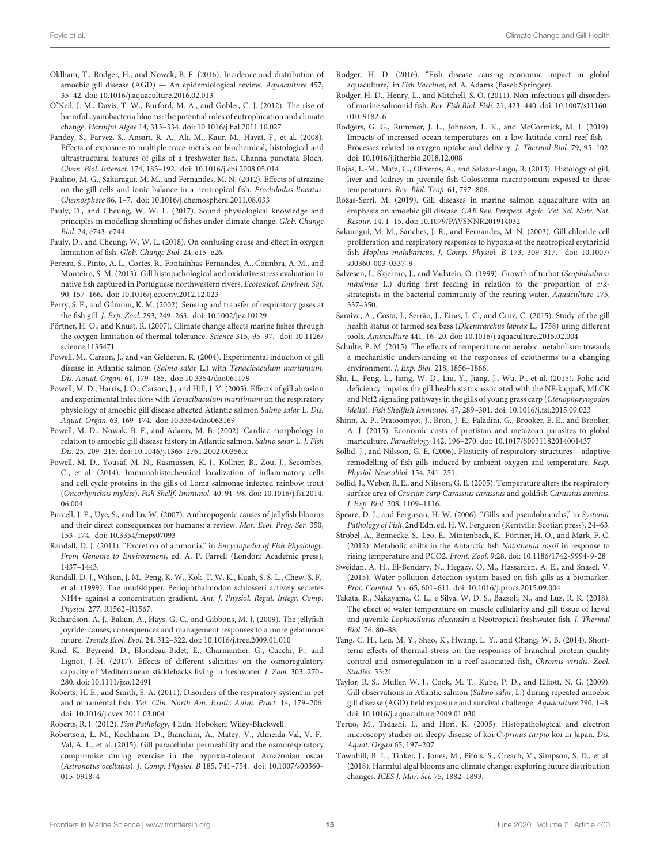- <span id="page-14-1"></span>Oldham, T., Rodger, H., and Nowak, B. F. (2016). Incidence and distribution of amoebic gill disease (AGD) — An epidemiological review. Aquaculture 457, 35–42. [doi: 10.1016/j.aquaculture.2016.02.013](https://doi.org/10.1016/j.aquaculture.2016.02.013)
- <span id="page-14-17"></span>O'Neil, J. M., Davis, T. W., Burford, M. A., and Gobler, C. J. (2012). The rise of harmful cyanobacteria blooms: the potential roles of eutrophication and climate change. Harmful Algae 14, 313–334. [doi: 10.1016/j.hal.2011.10.027](https://doi.org/10.1016/j.hal.2011.10.027)
- <span id="page-14-36"></span>Pandey, S., Parvez, S., Ansari, R. A., Ali, M., Kaur, M., Hayat, F., et al. (2008). Effects of exposure to multiple trace metals on biochemical, histological and ultrastructural features of gills of a freshwater fish, Channa punctata Bloch. Chem. Biol. Interact. 174, 183–192. [doi: 10.1016/j.cbi.2008.05.014](https://doi.org/10.1016/j.cbi.2008.05.014)
- <span id="page-14-37"></span>Paulino, M. G., Sakuragui, M. M., and Fernandes, M. N. (2012). Effects of atrazine on the gill cells and ionic balance in a neotropical fish, Prochilodus lineatus. Chemosphere 86, 1–7. [doi: 10.1016/j.chemosphere.2011.08.033](https://doi.org/10.1016/j.chemosphere.2011.08.033)
- <span id="page-14-26"></span>Pauly, D., and Cheung, W. W. L. (2017). Sound physiological knowledge and principles in modelling shrinking of fishes under climate change. Glob. Change Biol. 24, e743–e744.
- <span id="page-14-27"></span>Pauly, D., and Cheung, W. W. L. (2018). On confusing cause and effect in oxygen limitation of fish. Glob. Change Biol. 24, e15–e26.
- <span id="page-14-38"></span>Pereira, S., Pinto, A. L., Cortes, R., Fontaínhas-Fernandes, A., Coimbra, A. M., and Monteiro, S. M. (2013). Gill histopathological and oxidative stress evaluation in native fish captured in Portuguese northwestern rivers. Ecotoxicol. Environ. Saf. 90, 157–166. [doi: 10.1016/j.ecoenv.2012.12.023](https://doi.org/10.1016/j.ecoenv.2012.12.023)
- <span id="page-14-20"></span>Perry, S. F., and Gilmour, K. M. (2002). Sensing and transfer of respiratory gases at the fish gill. J. Exp. Zool. 293, 249–263. [doi: 10.1002/jez.10129](https://doi.org/10.1002/jez.10129)
- <span id="page-14-25"></span>Pörtner, H. O., and Knust, R. (2007). Climate change affects marine fishes through the oxygen limitation of thermal tolerance. Science 315, 95–97. [doi: 10.1126/](https://doi.org/10.1126/science.1135471) [science.1135471](https://doi.org/10.1126/science.1135471)
- <span id="page-14-14"></span>Powell, M., Carson, J., and van Gelderen, R. (2004). Experimental induction of gill disease in Atlantic salmon (Salmo salar L.) with Tenacibaculum maritimum. Dis. Aquat. Organ. 61, 179–185. [doi: 10.3354/dao061179](https://doi.org/10.3354/dao061179)
- <span id="page-14-15"></span>Powell, M. D., Harris, J. O., Carson, J., and Hill, J. V. (2005). Effects of gill abrasion and experimental infections with Tenacibaculum maritimum on the respiratory physiology of amoebic gill disease affected Atlantic salmon Salmo salar L. Dis. Aquat. Organ. 63, 169–174. [doi: 10.3354/dao063169](https://doi.org/10.3354/dao063169)
- <span id="page-14-40"></span>Powell, M. D., Nowak, B. F., and Adams, M. B. (2002). Cardiac morphology in relation to amoebic gill disease history in Atlantic salmon, Salmo salar L. J. Fish Dis. 25, 209–215. [doi: 10.1046/j.1365-2761.2002.00356.x](https://doi.org/10.1046/j.1365-2761.2002.00356.x)
- <span id="page-14-10"></span>Powell, M. D., Yousaf, M. N., Rasmussen, K. J., Kollner, B., Zou, J., Secombes, C., et al. (2014). Immunohistochemical localization of inflammatory cells and cell cycle proteins in the gills of Loma salmonae infected rainbow trout (Oncorhynchus mykiss). Fish Shellf. Immunol. 40, 91–98. [doi: 10.1016/j.fsi.2014.](https://doi.org/10.1016/j.fsi.2014.06.004) [06.004](https://doi.org/10.1016/j.fsi.2014.06.004)
- <span id="page-14-4"></span>Purcell, J. E., Uye, S., and Lo, W. (2007). Anthropogenic causes of jellyfish blooms and their direct consequences for humans: a review. Mar. Ecol. Prog. Ser. 350, 153–174. [doi: 10.3354/meps07093](https://doi.org/10.3354/meps07093)
- <span id="page-14-29"></span>Randall, D. J. (2011). "Excretion of ammonia," in Encyclopedia of Fish Physiology. From Genome to Environment, ed. A. P. Farrell (London: Academic press), 1437–1443.
- <span id="page-14-30"></span>Randall, D. J., Wilson, J. M., Peng, K. W., Kok, T. W. K., Kuah, S. S. L., Chew, S. F., et al. (1999). The mudskipper, Periophthalmodon schlosseri actively secretes NH4+ against a concentration gradient. Am. J. Physiol. Regul. Integr. Comp. Physiol. 277, R1562–R1567.
- <span id="page-14-5"></span>Richardson, A. J., Bakun, A., Hays, G. C., and Gibbons, M. J. (2009). The jellyfish joyride: causes, consequences and management responses to a more gelatinous future. Trends Ecol. Evol. 24, 312–322. [doi: 10.1016/j.tree.2009.01.010](https://doi.org/10.1016/j.tree.2009.01.010)
- <span id="page-14-39"></span>Rind, K., Beyrend, D., Blondeau-Bidet, E., Charmantier, G., Cucchi, P., and Lignot, J.-H. (2017). Effects of different salinities on the osmoregulatory capacity of Mediterranean sticklebacks living in freshwater. J. Zool. 303, 270– 280. [doi: 10.1111/jzo.12491](https://doi.org/10.1111/jzo.12491)
- <span id="page-14-8"></span>Roberts, H. E., and Smith, S. A. (2011). Disorders of the respiratory system in pet and ornamental fish. Vet. Clin. North Am. Exotic Anim. Pract. 14, 179–206. [doi: 10.1016/j.cvex.2011.03.004](https://doi.org/10.1016/j.cvex.2011.03.004)
- <span id="page-14-6"></span>Roberts, R. J. (2012). Fish Pathology, 4 Edn. Hoboken: Wiley-Blackwell.
- <span id="page-14-32"></span>Robertson, L. M., Kochhann, D., Bianchini, A., Matey, V., Almeida-Val, V. F., Val, A. L., et al. (2015). Gill paracellular permeability and the osmorespiratory compromise during exercise in the hypoxia-tolerant Amazonian oscar (Astronotus ocellatus). J. Comp. Physiol. B 185, 741–754. [doi: 10.1007/s00360-](https://doi.org/10.1007/s00360-015-0918-4) [015-0918-4](https://doi.org/10.1007/s00360-015-0918-4)
- <span id="page-14-19"></span>Rodger, H. D. (2016). "Fish disease causing economic impact in global aquaculture," in Fish Vaccines, ed. A. Adams (Basel: Springer).
- <span id="page-14-2"></span>Rodger, H. D., Henry, L., and Mitchell, S. O. (2011). Non-infectious gill disorders of marine salmonid fish. Rev. Fish Biol. Fish. 21, 423–440. [doi: 10.1007/s11160-](https://doi.org/10.1007/s11160-010-9182-6) [010-9182-6](https://doi.org/10.1007/s11160-010-9182-6)
- <span id="page-14-24"></span>Rodgers, G. G., Rummer, J. L., Johnson, L. K., and McCormick, M. I. (2019). Impacts of increased ocean temperatures on a low-latitude coral reef fish – Processes related to oxygen uptake and delivery. J. Thermal Biol. 79, 95–102. [doi: 10.1016/j.jtherbio.2018.12.008](https://doi.org/10.1016/j.jtherbio.2018.12.008)
- <span id="page-14-33"></span>Rojas, L.-M., Mata, C., Oliveros, A., and Salazar-Lugo, R. (2013). Histology of gill, liver and kidney in juvenile fish Colossoma macropomum exposed to three temperatures. Rev. Biol. Trop. 61, 797–806.
- <span id="page-14-41"></span>Rozas-Serri, M. (2019). Gill diseases in marine salmon aquaculture with an emphasis on amoebic gill disease. CAB Rev. Perspect. Agric. Vet. Sci. Nutr. Nat. Resour. 14, 1–15. [doi: 10.1079/PAVSNNR201914032](https://doi.org/10.1079/PAVSNNR201914032)
- <span id="page-14-31"></span>Sakuragui, M. M., Sanches, J. R., and Fernandes, M. N. (2003). Gill chloride cell proliferation and respiratory responses to hypoxia of the neotropical erythrinid fish Hoplias malabaricus. J. Comp. Physiol. B 173, 309–317. [doi: 10.1007/](https://doi.org/10.1007/s00360-003-0337-9) [s00360-003-0337-9](https://doi.org/10.1007/s00360-003-0337-9)
- <span id="page-14-12"></span>Salvesen, I., Skjermo, J., and Vadstein, O. (1999). Growth of turbot (Scophthalmus maximus L.) during first feeding in relation to the proportion of r/kstrategists in the bacterial community of the rearing water. Aquaculture 175, 337–350.
- <span id="page-14-7"></span>Saraiva, A., Costa, J., Serrão, J., Eiras, J. C., and Cruz, C. (2015). Study of the gill health status of farmed sea bass (Dicentrarchus labrax L., 1758) using different tools. Aquaculture 441, 16–20. [doi: 10.1016/j.aquaculture.2015.02.004](https://doi.org/10.1016/j.aquaculture.2015.02.004)
- <span id="page-14-23"></span>Schulte, P. M. (2015). The effects of temperature on aerobic metabolism: towards a mechanistic understanding of the responses of ectotherms to a changing environment. J. Exp. Biol. 218, 1856–1866.
- <span id="page-14-3"></span>Shi, L., Feng, L., Jiang, W. D., Liu, Y., Jiang, J., Wu, P., et al. (2015). Folic acid deficiency impairs the gill health status associated with the NF-kappaB, MLCK and Nrf2 signaling pathways in the gills of young grass carp (Ctenopharyngodon idella). Fish Shellfish Immunol. 47, 289–301. [doi: 10.1016/j.fsi.2015.09.023](https://doi.org/10.1016/j.fsi.2015.09.023)
- <span id="page-14-18"></span>Shinn, A. P., Pratoomyot, J., Bron, J. E., Paladini, G., Brooker, E. E., and Brooker, A. J. (2015). Economic costs of protistan and metazoan parasites to global mariculture. Parasitology 142, 196–270. [doi: 10.1017/S0031182014001437](https://doi.org/10.1017/S0031182014001437)
- <span id="page-14-22"></span>Sollid, J., and Nilsson, G. E. (2006). Plasticity of respiratory structures – adaptive remodelling of fish gills induced by ambient oxygen and temperature. Resp. Physiol. Neurobiol. 154, 241–251.
- <span id="page-14-21"></span>Sollid, J., Weber, R. E., and Nilsson, G. E. (2005). Temperature alters the respiratory surface area of Crucian carp Carassius carassius and goldfish Carassius auratus. J. Exp. Biol. 208, 1109–1116.
- <span id="page-14-13"></span>Speare, D. J., and Ferguson, H. W. (2006). "Gills and pseudobranchs," in Systemic Pathology of Fish, 2nd Edn, ed. H. W. Ferguson (Kentville: Scotian press), 24–63.
- <span id="page-14-35"></span>Strobel, A., Bennecke, S., Leo, E., Mintenbeck, K., Pörtner, H. O., and Mark, F. C. (2012). Metabolic shifts in the Antarctic fish Notothenia rossii in response to rising temperature and PCO2. Front. Zool. 9:28. [doi: 10.1186/1742-9994-9-28](https://doi.org/10.1186/1742-9994-9-28)
- <span id="page-14-11"></span>Sweidan, A. H., El-Bendary, N., Hegazy, O. M., Hassanien, A. E., and Snasel, V. (2015). Water pollution detection system based on fish gills as a biomarker. Proc. Comput. Sci. 65, 601–611. [doi: 10.1016/j.procs.2015.09.004](https://doi.org/10.1016/j.procs.2015.09.004)
- <span id="page-14-34"></span>Takata, R., Nakayama, C. L., e Silva, W. D. S., Bazzoli, N., and Luz, R. K. (2018). The effect of water temperature on muscle cellularity and gill tissue of larval and juvenile Lophiosilurus alexandri a Neotropical freshwater fish. J. Thermal Biol. 76, 80–88.
- <span id="page-14-28"></span>Tang, C. H., Leu, M. Y., Shao, K., Hwang, L. Y., and Chang, W. B. (2014). Shortterm effects of thermal stress on the responses of branchial protein quality control and osmoregulation in a reef-associated fish, Chromis viridis. Zool. Studies. 53:21.
- <span id="page-14-9"></span>Taylor, R. S., Muller, W. J., Cook, M. T., Kube, P. D., and Elliott, N. G. (2009). Gill observations in Atlantic salmon (Salmo salar, L.) during repeated amoebic gill disease (AGD) field exposure and survival challenge. Aquaculture 290, 1–8. [doi: 10.1016/j.aquaculture.2009.01.030](https://doi.org/10.1016/j.aquaculture.2009.01.030)
- <span id="page-14-0"></span>Teruo, M., Tadashi, I., and Hori, K. (2005). Histopathological and electron microscopy studies on sleepy disease of koi Cyprinus carpio koi in Japan. Dis. Aquat. Organ 65, 197–207.
- <span id="page-14-16"></span>Townhill, B. L., Tinker, J., Jones, M., Pitois, S., Creach, V., Simpson, S. D., et al. (2018). Harmful algal blooms and climate change: exploring future distribution changes. ICES J. Mar. Sci. 75, 1882–1893.